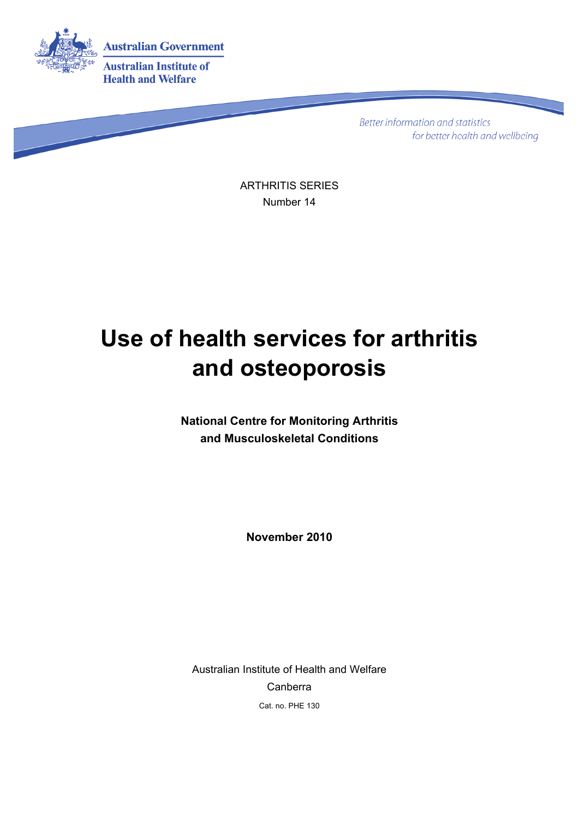

**Better information and statistics** for better health and wellbeing

ARTHRITIS SERIES Number 14

# **Use of health services for arthritis and osteoporosis**

**National Centre for Monitoring Arthritis and Musculoskeletal Conditions** 

**November 2010** 

Australian Institute of Health and Welfare Canberra Cat. no. PHE 130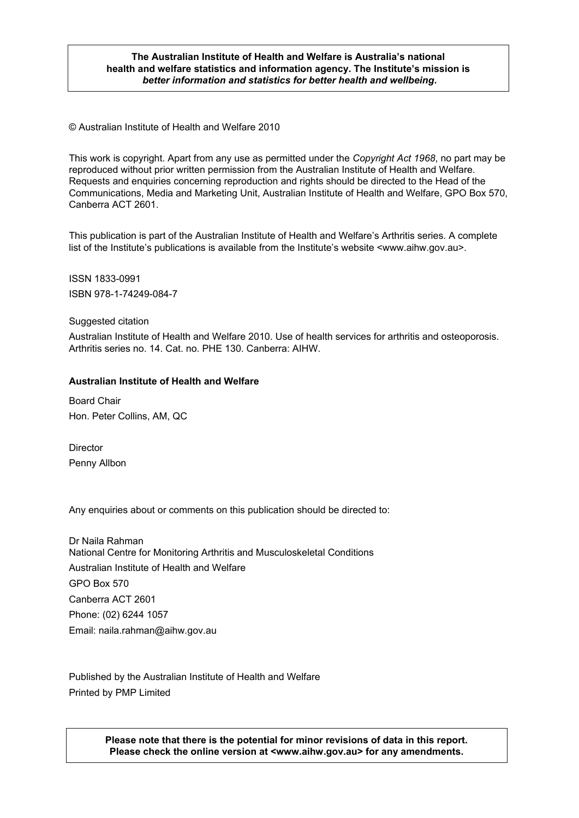#### **The Australian Institute of Health and Welfare is Australia's national health and welfare statistics and information agency. The Institute's mission is**  *better information and statistics for better health and wellbeing***.**

© Australian Institute of Health and Welfare 2010

This work is copyright. Apart from any use as permitted under the *Copyright Act 1968*, no part may be reproduced without prior written permission from the Australian Institute of Health and Welfare. Requests and enquiries concerning reproduction and rights should be directed to the Head of the Communications, Media and Marketing Unit, Australian Institute of Health and Welfare, GPO Box 570, Canberra ACT 2601.

This publication is part of the Australian Institute of Health and Welfare's Arthritis series. A complete list of the Institute's publications is available from the Institute's website <www.aihw.gov.au>.

ISSN 1833-0991 ISBN 978-1-74249-084-7

#### Suggested citation

Australian Institute of Health and Welfare 2010. Use of health services for arthritis and osteoporosis. Arthritis series no. 14. Cat. no. PHE 130. Canberra: AIHW.

#### **Australian Institute of Health and Welfare**

Board Chair Hon. Peter Collins, AM, QC

**Director** Penny Allbon

Any enquiries about or comments on this publication should be directed to:

Dr Naila Rahman National Centre for Monitoring Arthritis and Musculoskeletal Conditions Australian Institute of Health and Welfare GPO Box 570 Canberra ACT 2601 Phone: (02) 6244 1057 Email: naila.rahman@aihw.gov.au

Published by the Australian Institute of Health and Welfare Printed by PMP Limited

> **Please note that there is the potential for minor revisions of data in this report. Please check the online version at <www.aihw.gov.au> for any amendments.**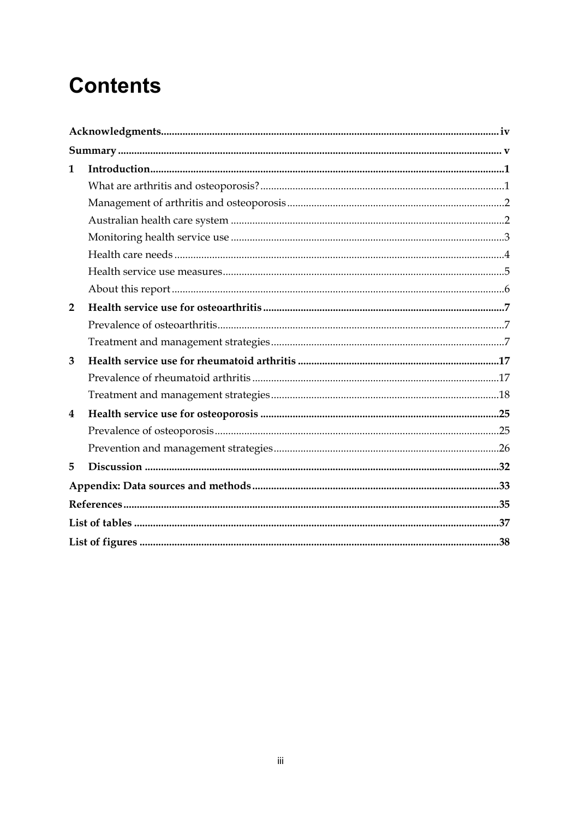# **Contents**

| $\mathbf{1}$   |  |
|----------------|--|
|                |  |
|                |  |
|                |  |
|                |  |
|                |  |
|                |  |
|                |  |
| $\overline{2}$ |  |
|                |  |
|                |  |
| 3              |  |
|                |  |
|                |  |
| 4              |  |
|                |  |
|                |  |
| 5              |  |
|                |  |
|                |  |
|                |  |
|                |  |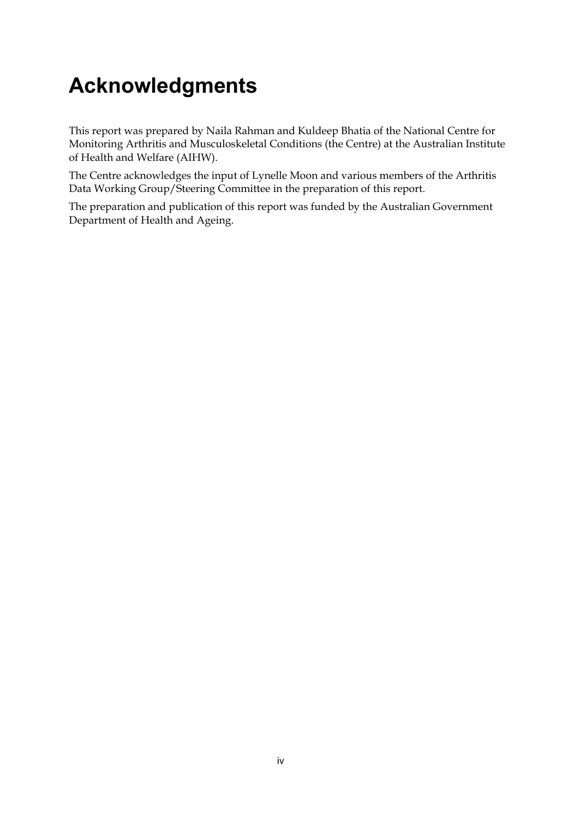# <span id="page-3-0"></span>**Acknowledgments**

This report was prepared by Naila Rahman and Kuldeep Bhatia of the National Centre for Monitoring Arthritis and Musculoskeletal Conditions (the Centre) at the Australian Institute of Health and Welfare (AIHW).

The Centre acknowledges the input of Lynelle Moon and various members of the Arthritis Data Working Group/Steering Committee in the preparation of this report.

The preparation and publication of this report was funded by the Australian Government Department of Health and Ageing.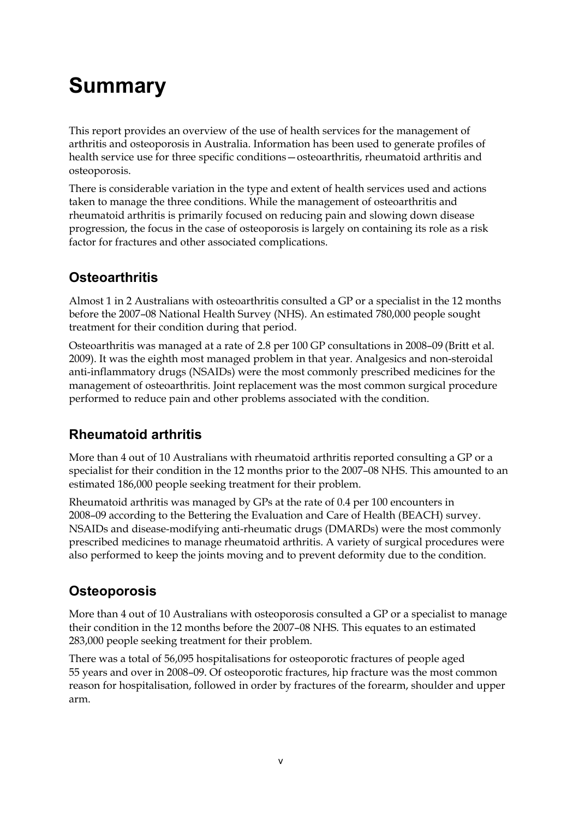# <span id="page-4-0"></span>**Summary**

This report provides an overview of the use of health services for the management of arthritis and osteoporosis in Australia. Information has been used to generate profiles of health service use for three specific conditions—osteoarthritis, rheumatoid arthritis and osteoporosis.

There is considerable variation in the type and extent of health services used and actions taken to manage the three conditions. While the management of osteoarthritis and rheumatoid arthritis is primarily focused on reducing pain and slowing down disease progression, the focus in the case of osteoporosis is largely on containing its role as a risk factor for fractures and other associated complications.

## **Osteoarthritis**

Almost 1 in 2 Australians with osteoarthritis consulted a GP or a specialist in the 12 months before the 2007–08 National Health Survey (NHS). An estimated 780,000 people sought treatment for their condition during that period.

Osteoarthritis was managed at a rate of 2.8 per 100 GP consultations in 2008–09 (Britt et al. 2009). It was the eighth most managed problem in that year. Analgesics and non-steroidal anti-inflammatory drugs (NSAIDs) were the most commonly prescribed medicines for the management of osteoarthritis. Joint replacement was the most common surgical procedure performed to reduce pain and other problems associated with the condition.

## **Rheumatoid arthritis**

More than 4 out of 10 Australians with rheumatoid arthritis reported consulting a GP or a specialist for their condition in the 12 months prior to the 2007–08 NHS. This amounted to an estimated 186,000 people seeking treatment for their problem.

Rheumatoid arthritis was managed by GPs at the rate of 0.4 per 100 encounters in 2008–09 according to the Bettering the Evaluation and Care of Health (BEACH) survey. NSAIDs and disease-modifying anti-rheumatic drugs (DMARDs) were the most commonly prescribed medicines to manage rheumatoid arthritis. A variety of surgical procedures were also performed to keep the joints moving and to prevent deformity due to the condition.

## **Osteoporosis**

More than 4 out of 10 Australians with osteoporosis consulted a GP or a specialist to manage their condition in the 12 months before the 2007–08 NHS. This equates to an estimated 283,000 people seeking treatment for their problem.

There was a total of 56,095 hospitalisations for osteoporotic fractures of people aged 55 years and over in 2008–09. Of osteoporotic fractures, hip fracture was the most common reason for hospitalisation, followed in order by fractures of the forearm, shoulder and upper arm.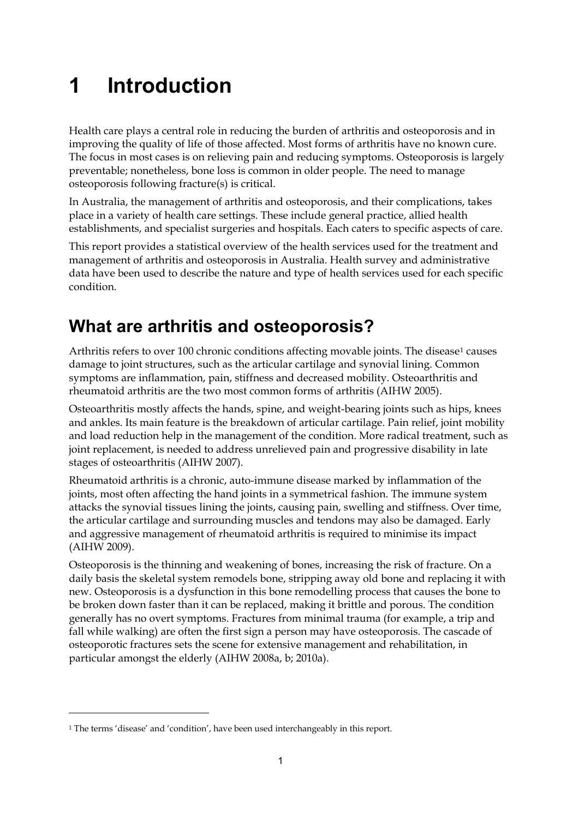# <span id="page-6-0"></span>**1 Introduction**

Health care plays a central role in reducing the burden of arthritis and osteoporosis and in improving the quality of life of those affected. Most forms of arthritis have no known cure. The focus in most cases is on relieving pain and reducing symptoms. Osteoporosis is largely preventable; nonetheless, bone loss is common in older people. The need to manage osteoporosis following fracture(s) is critical.

In Australia, the management of arthritis and osteoporosis, and their complications, takes place in a variety of health care settings. These include general practice, allied health establishments, and specialist surgeries and hospitals. Each caters to specific aspects of care.

This report provides a statistical overview of the health services used for the treatment and management of arthritis and osteoporosis in Australia. Health survey and administrative data have been used to describe the nature and type of health services used for each specific condition.

# <span id="page-6-1"></span>**What are arthritis and osteoporosis?**

Arthritis refers to over 100 chronic conditions affecting movable joints. The disease<sup>1</sup> causes damage to joint structures, such as the articular cartilage and synovial lining. Common symptoms are inflammation, pain, stiffness and decreased mobility. Osteoarthritis and rheumatoid arthritis are the two most common forms of arthritis (AIHW 2005).

Osteoarthritis mostly affects the hands, spine, and weight-bearing joints such as hips, knees and ankles. Its main feature is the breakdown of articular cartilage. Pain relief, joint mobility and load reduction help in the management of the condition. More radical treatment, such as joint replacement, is needed to address unrelieved pain and progressive disability in late stages of osteoarthritis (AIHW 2007).

Rheumatoid arthritis is a chronic, auto-immune disease marked by inflammation of the joints, most often affecting the hand joints in a symmetrical fashion. The immune system attacks the synovial tissues lining the joints, causing pain, swelling and stiffness. Over time, the articular cartilage and surrounding muscles and tendons may also be damaged. Early and aggressive management of rheumatoid arthritis is required to minimise its impact (AIHW 2009).

Osteoporosis is the thinning and weakening of bones, increasing the risk of fracture. On a daily basis the skeletal system remodels bone, stripping away old bone and replacing it with new. Osteoporosis is a dysfunction in this bone remodelling process that causes the bone to be broken down faster than it can be replaced, making it brittle and porous. The condition generally has no overt symptoms. Fractures from minimal trauma (for example, a trip and fall while walking) are often the first sign a person may have osteoporosis. The cascade of osteoporotic fractures sets the scene for extensive management and rehabilitation, in particular amongst the elderly (AIHW 2008a, b; 2010a).

<u>.</u>

<span id="page-6-2"></span><sup>1</sup> The terms 'disease' and 'condition', have been used interchangeably in this report.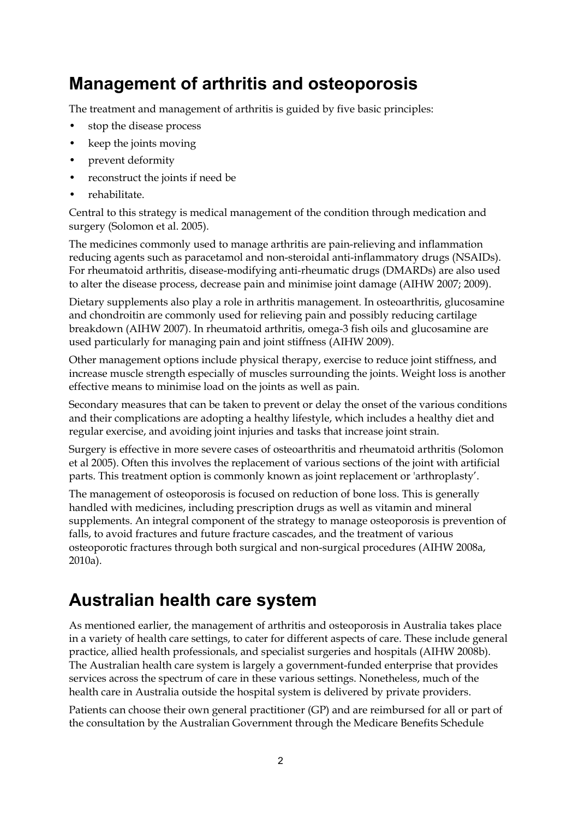## <span id="page-7-0"></span>**Management of arthritis and osteoporosis**

The treatment and management of arthritis is guided by five basic principles:

- stop the disease process
- keep the joints moving
- prevent deformity
- reconstruct the joints if need be
- rehabilitate.

Central to this strategy is medical management of the condition through medication and surgery (Solomon et al. 2005).

The medicines commonly used to manage arthritis are pain-relieving and inflammation reducing agents such as paracetamol and non-steroidal anti-inflammatory drugs (NSAIDs). For rheumatoid arthritis, disease-modifying anti-rheumatic drugs (DMARDs) are also used to alter the disease process, decrease pain and minimise joint damage (AIHW 2007; 2009).

Dietary supplements also play a role in arthritis management. In osteoarthritis, glucosamine and chondroitin are commonly used for relieving pain and possibly reducing cartilage breakdown (AIHW 2007). In rheumatoid arthritis, omega-3 fish oils and glucosamine are used particularly for managing pain and joint stiffness (AIHW 2009).

Other management options include physical therapy, exercise to reduce joint stiffness, and increase muscle strength especially of muscles surrounding the joints. Weight loss is another effective means to minimise load on the joints as well as pain.

Secondary measures that can be taken to prevent or delay the onset of the various conditions and their complications are adopting a healthy lifestyle, which includes a healthy diet and regular exercise, and avoiding joint injuries and tasks that increase joint strain.

Surgery is effective in more severe cases of osteoarthritis and rheumatoid arthritis (Solomon et al 2005). Often this involves the replacement of various sections of the joint with artificial parts. This treatment option is commonly known as joint replacement or 'arthroplasty'.

The management of osteoporosis is focused on reduction of bone loss. This is generally handled with medicines, including prescription drugs as well as vitamin and mineral supplements. An integral component of the strategy to manage osteoporosis is prevention of falls, to avoid fractures and future fracture cascades, and the treatment of various osteoporotic fractures through both surgical and non-surgical procedures (AIHW 2008a, 2010a).

## <span id="page-7-1"></span>**Australian health care system**

As mentioned earlier, the management of arthritis and osteoporosis in Australia takes place in a variety of health care settings, to cater for different aspects of care. These include general practice, allied health professionals, and specialist surgeries and hospitals (AIHW 2008b). The Australian health care system is largely a government-funded enterprise that provides services across the spectrum of care in these various settings. Nonetheless, much of the health care in Australia outside the hospital system is delivered by private providers.

Patients can choose their own general practitioner (GP) and are reimbursed for all or part of the consultation by the Australian Government through the Medicare Benefits Schedule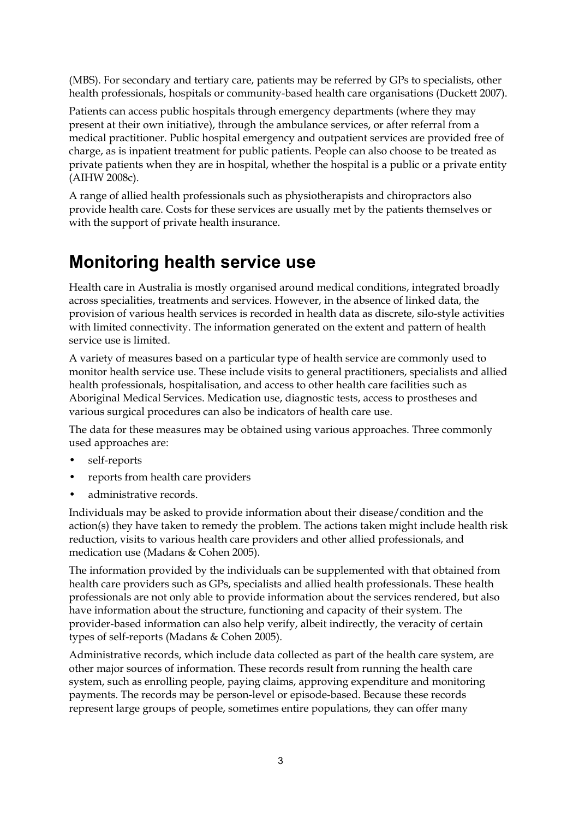(MBS). For secondary and tertiary care, patients may be referred by GPs to specialists, other health professionals, hospitals or community-based health care organisations (Duckett 2007).

Patients can access public hospitals through emergency departments (where they may present at their own initiative), through the ambulance services, or after referral from a medical practitioner. Public hospital emergency and outpatient services are provided free of charge, as is inpatient treatment for public patients. People can also choose to be treated as private patients when they are in hospital, whether the hospital is a public or a private entity (AIHW 2008c).

A range of allied health professionals such as physiotherapists and chiropractors also provide health care. Costs for these services are usually met by the patients themselves or with the support of private health insurance.

## <span id="page-8-0"></span>**Monitoring health service use**

Health care in Australia is mostly organised around medical conditions, integrated broadly across specialities, treatments and services. However, in the absence of linked data, the provision of various health services is recorded in health data as discrete, silo-style activities with limited connectivity. The information generated on the extent and pattern of health service use is limited.

A variety of measures based on a particular type of health service are commonly used to monitor health service use. These include visits to general practitioners, specialists and allied health professionals, hospitalisation, and access to other health care facilities such as Aboriginal Medical Services. Medication use, diagnostic tests, access to prostheses and various surgical procedures can also be indicators of health care use.

The data for these measures may be obtained using various approaches. Three commonly used approaches are:

- self-reports
- reports from health care providers
- administrative records.

Individuals may be asked to provide information about their disease/condition and the action(s) they have taken to remedy the problem. The actions taken might include health risk reduction, visits to various health care providers and other allied professionals, and medication use (Madans & Cohen 2005).

The information provided by the individuals can be supplemented with that obtained from health care providers such as GPs, specialists and allied health professionals. These health professionals are not only able to provide information about the services rendered, but also have information about the structure, functioning and capacity of their system. The provider-based information can also help verify, albeit indirectly, the veracity of certain types of self-reports (Madans & Cohen 2005).

Administrative records, which include data collected as part of the health care system, are other major sources of information. These records result from running the health care system, such as enrolling people, paying claims, approving expenditure and monitoring payments. The records may be person-level or episode-based. Because these records represent large groups of people, sometimes entire populations, they can offer many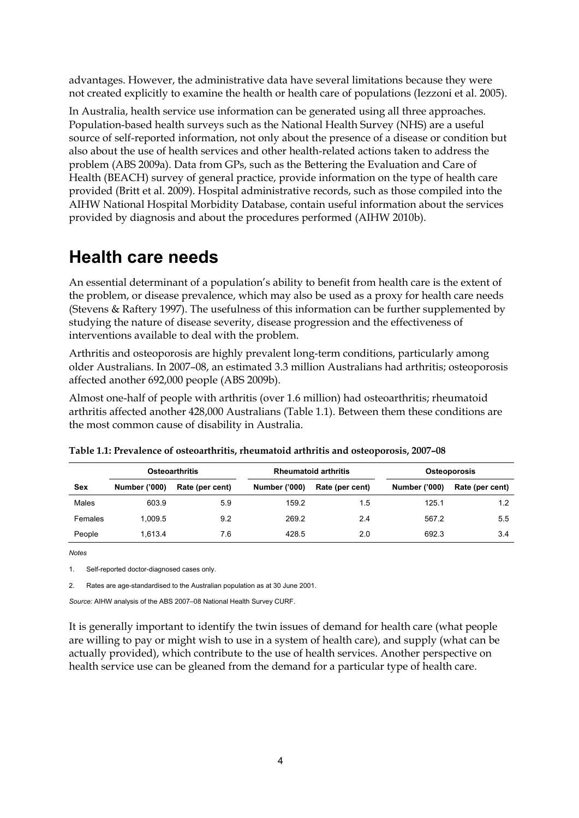advantages. However, the administrative data have several limitations because they were not created explicitly to examine the health or health care of populations (Iezzoni et al. 2005).

In Australia, health service use information can be generated using all three approaches. Population-based health surveys such as the National Health Survey (NHS) are a useful source of self-reported information, not only about the presence of a disease or condition but also about the use of health services and other health-related actions taken to address the problem (ABS 2009a). Data from GPs, such as the Bettering the Evaluation and Care of Health (BEACH) survey of general practice, provide information on the type of health care provided (Britt et al. 2009). Hospital administrative records, such as those compiled into the AIHW National Hospital Morbidity Database, contain useful information about the services provided by diagnosis and about the procedures performed (AIHW 2010b).

## <span id="page-9-0"></span>**Health care needs**

An essential determinant of a population's ability to benefit from health care is the extent of the problem, or disease prevalence, which may also be used as a proxy for health care needs (Stevens & Raftery 1997). The usefulness of this information can be further supplemented by studying the nature of disease severity, disease progression and the effectiveness of interventions available to deal with the problem.

Arthritis and osteoporosis are highly prevalent long-term conditions, particularly among older Australians. In 2007–08, an estimated 3.3 million Australians had arthritis; osteoporosis affected another 692,000 people (ABS 2009b).

Almost one-half of people with arthritis (over 1.6 million) had osteoarthritis; rheumatoid arthritis affected another 428,000 Australians (Table 1.1). Between them these conditions are the most common cause of disability in Australia.

|         | <b>Osteoarthritis</b> |                 | <b>Rheumatoid arthritis</b> |                 | <b>Osteoporosis</b>  |                 |
|---------|-----------------------|-----------------|-----------------------------|-----------------|----------------------|-----------------|
| Sex     | <b>Number ('000)</b>  | Rate (per cent) | <b>Number ('000)</b>        | Rate (per cent) | <b>Number ('000)</b> | Rate (per cent) |
| Males   | 603.9                 | 5.9             | 159.2                       | 1.5             | 125.1                | 1.2             |
| Females | 1.009.5               | 9.2             | 269.2                       | 2.4             | 567.2                | 5.5             |
| People  | 1.613.4               | 7.6             | 428.5                       | 2.0             | 692.3                | 3.4             |

<span id="page-9-1"></span>

| Table 1.1: Prevalence of osteoarthritis, rheumatoid arthritis and osteoporosis, 2007-08 |  |  |  |
|-----------------------------------------------------------------------------------------|--|--|--|
|                                                                                         |  |  |  |

*Notes* 

1. Self-reported doctor-diagnosed cases only.

2. Rates are age-standardised to the Australian population as at 30 June 2001.

*Source:* AIHW analysis of the ABS 2007–08 National Health Survey CURF.

It is generally important to identify the twin issues of demand for health care (what people are willing to pay or might wish to use in a system of health care), and supply (what can be actually provided), which contribute to the use of health services. Another perspective on health service use can be gleaned from the demand for a particular type of health care.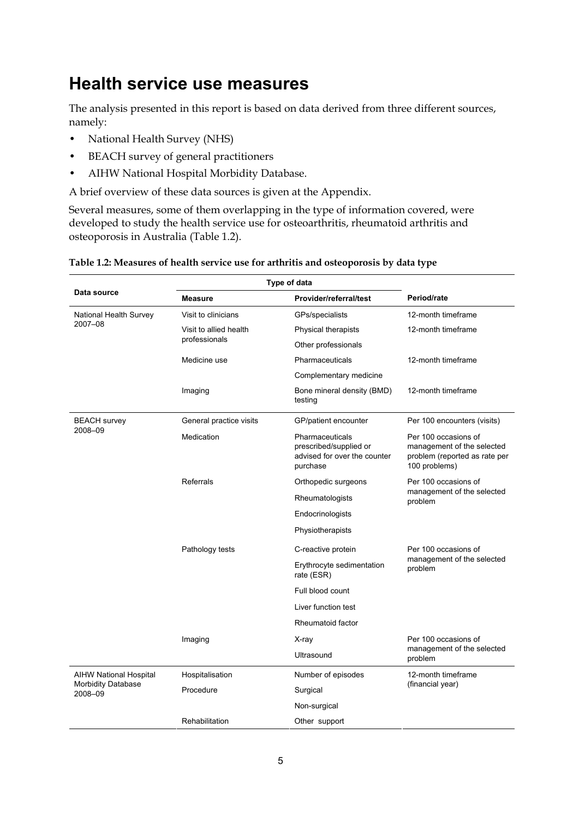## <span id="page-10-0"></span>**Health service use measures**

The analysis presented in this report is based on data derived from three different sources, namely:

- National Health Survey (NHS)
- BEACH survey of general practitioners
- AIHW National Hospital Morbidity Database.

A brief overview of these data sources is given at the Appendix.

Several measures, some of them overlapping in the type of information covered, were developed to study the health service use for osteoarthritis, rheumatoid arthritis and osteoporosis in Australia (Table 1.2).

| Type of data                         |                         |                                                                                       |                                                                                                      |
|--------------------------------------|-------------------------|---------------------------------------------------------------------------------------|------------------------------------------------------------------------------------------------------|
| Data source                          | <b>Measure</b>          | Provider/referral/test                                                                | Period/rate                                                                                          |
| National Health Survey               | Visit to clinicians     | GPs/specialists                                                                       | 12-month timeframe                                                                                   |
| 2007-08                              | Visit to allied health  | Physical therapists                                                                   | 12-month timeframe                                                                                   |
|                                      | professionals           | Other professionals                                                                   |                                                                                                      |
|                                      | Medicine use            | Pharmaceuticals                                                                       | 12-month timeframe                                                                                   |
|                                      |                         | Complementary medicine                                                                |                                                                                                      |
|                                      | Imaging                 | Bone mineral density (BMD)<br>testing                                                 | 12-month timeframe                                                                                   |
| <b>BEACH</b> survey                  | General practice visits | GP/patient encounter                                                                  | Per 100 encounters (visits)                                                                          |
| 2008-09                              | Medication              | Pharmaceuticals<br>prescribed/supplied or<br>advised for over the counter<br>purchase | Per 100 occasions of<br>management of the selected<br>problem (reported as rate per<br>100 problems) |
|                                      | Referrals               | Orthopedic surgeons                                                                   | Per 100 occasions of                                                                                 |
|                                      |                         | Rheumatologists                                                                       | management of the selected<br>problem                                                                |
|                                      |                         | Endocrinologists                                                                      |                                                                                                      |
|                                      |                         | Physiotherapists                                                                      |                                                                                                      |
|                                      | Pathology tests         | C-reactive protein                                                                    | Per 100 occasions of                                                                                 |
|                                      |                         | Erythrocyte sedimentation<br>rate (ESR)                                               | management of the selected<br>problem                                                                |
|                                      |                         | Full blood count                                                                      |                                                                                                      |
|                                      |                         | Liver function test                                                                   |                                                                                                      |
|                                      |                         | Rheumatoid factor                                                                     |                                                                                                      |
|                                      | Imaging                 | X-ray                                                                                 | Per 100 occasions of                                                                                 |
|                                      |                         | Ultrasound                                                                            | management of the selected<br>problem                                                                |
| <b>AIHW National Hospital</b>        | Hospitalisation         | Number of episodes                                                                    | 12-month timeframe                                                                                   |
| <b>Morbidity Database</b><br>2008-09 | Procedure               | Surgical                                                                              | (financial year)                                                                                     |
|                                      |                         | Non-surgical                                                                          |                                                                                                      |
|                                      | Rehabilitation          | Other support                                                                         |                                                                                                      |
|                                      |                         |                                                                                       |                                                                                                      |

#### <span id="page-10-1"></span>**Table 1.2: Measures of health service use for arthritis and osteoporosis by data type**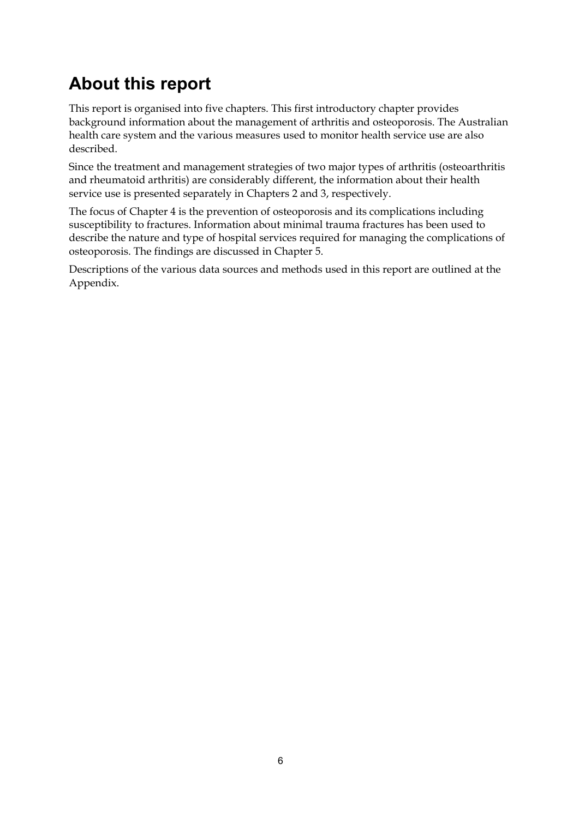# <span id="page-11-0"></span>**About this report**

This report is organised into five chapters. This first introductory chapter provides background information about the management of arthritis and osteoporosis. The Australian health care system and the various measures used to monitor health service use are also described.

Since the treatment and management strategies of two major types of arthritis (osteoarthritis and rheumatoid arthritis) are considerably different, the information about their health service use is presented separately in Chapters 2 and 3, respectively.

The focus of Chapter 4 is the prevention of osteoporosis and its complications including susceptibility to fractures. Information about minimal trauma fractures has been used to describe the nature and type of hospital services required for managing the complications of osteoporosis. The findings are discussed in Chapter 5.

Descriptions of the various data sources and methods used in this report are outlined at the Appendix.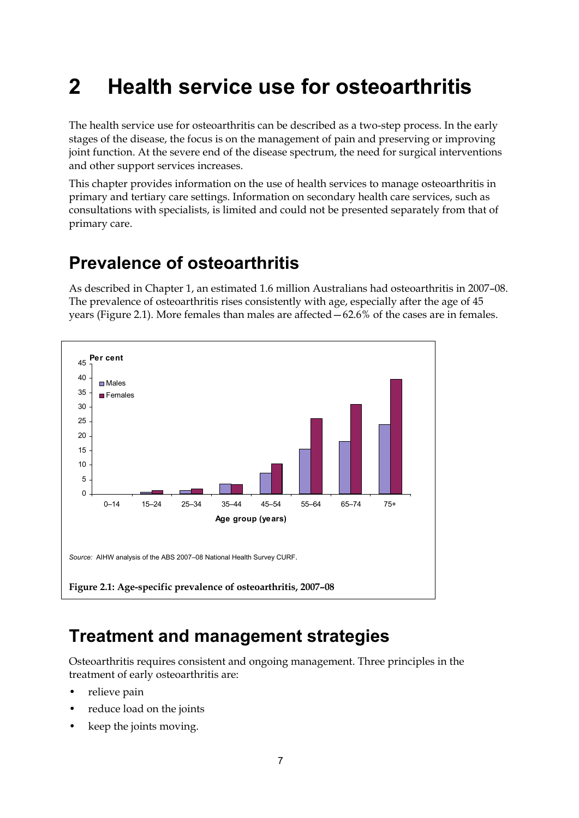# <span id="page-12-0"></span>**2 Health service use for osteoarthritis**

The health service use for osteoarthritis can be described as a two-step process. In the early stages of the disease, the focus is on the management of pain and preserving or improving joint function. At the severe end of the disease spectrum, the need for surgical interventions and other support services increases.

This chapter provides information on the use of health services to manage osteoarthritis in primary and tertiary care settings. Information on secondary health care services, such as consultations with specialists, is limited and could not be presented separately from that of primary care.

## <span id="page-12-1"></span>**Prevalence of osteoarthritis**

As described in Chapter 1, an estimated 1.6 million Australians had osteoarthritis in 2007–08. The prevalence of osteoarthritis rises consistently with age, especially after the age of 45 years (Figure 2.1). More females than males are affected—62.6% of the cases are in females.



## <span id="page-12-3"></span><span id="page-12-2"></span>**Treatment and management strategies**

Osteoarthritis requires consistent and ongoing management. Three principles in the treatment of early osteoarthritis are:

- relieve pain
- reduce load on the joints
- keep the joints moving.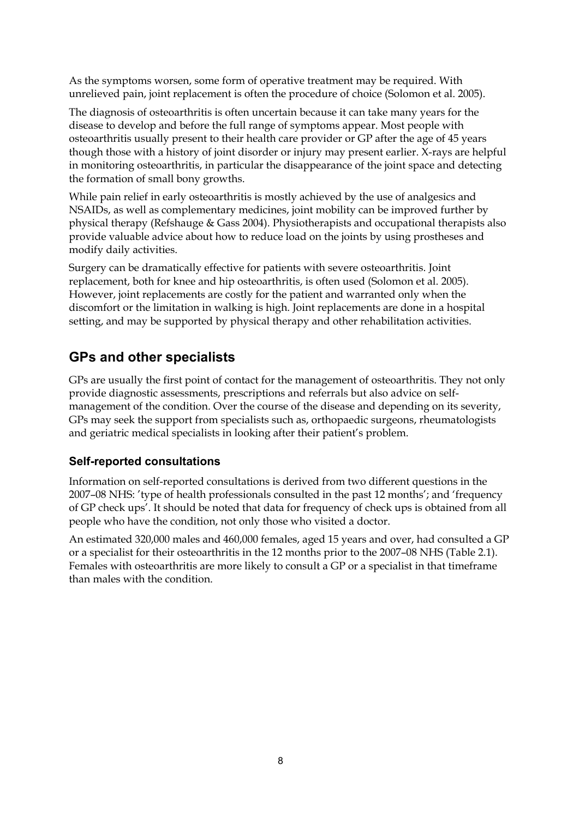As the symptoms worsen, some form of operative treatment may be required. With unrelieved pain, joint replacement is often the procedure of choice (Solomon et al. 2005).

The diagnosis of osteoarthritis is often uncertain because it can take many years for the disease to develop and before the full range of symptoms appear. Most people with osteoarthritis usually present to their health care provider or GP after the age of 45 years though those with a history of joint disorder or injury may present earlier. X-rays are helpful in monitoring osteoarthritis, in particular the disappearance of the joint space and detecting the formation of small bony growths.

While pain relief in early osteoarthritis is mostly achieved by the use of analgesics and NSAIDs, as well as complementary medicines, joint mobility can be improved further by physical therapy (Refshauge & Gass 2004). Physiotherapists and occupational therapists also provide valuable advice about how to reduce load on the joints by using prostheses and modify daily activities.

Surgery can be dramatically effective for patients with severe osteoarthritis. Joint replacement, both for knee and hip osteoarthritis, is often used (Solomon et al. 2005). However, joint replacements are costly for the patient and warranted only when the discomfort or the limitation in walking is high. Joint replacements are done in a hospital setting, and may be supported by physical therapy and other rehabilitation activities.

## **GPs and other specialists**

GPs are usually the first point of contact for the management of osteoarthritis. They not only provide diagnostic assessments, prescriptions and referrals but also advice on selfmanagement of the condition. Over the course of the disease and depending on its severity, GPs may seek the support from specialists such as, orthopaedic surgeons, rheumatologists and geriatric medical specialists in looking after their patient's problem.

### **Self-reported consultations**

Information on self-reported consultations is derived from two different questions in the 2007–08 NHS: 'type of health professionals consulted in the past 12 months'; and 'frequency of GP check ups'. It should be noted that data for frequency of check ups is obtained from all people who have the condition, not only those who visited a doctor.

An estimated 320,000 males and 460,000 females, aged 15 years and over, had consulted a GP or a specialist for their osteoarthritis in the 12 months prior to the 2007–08 NHS (Table 2.1). Females with osteoarthritis are more likely to consult a GP or a specialist in that timeframe than males with the condition.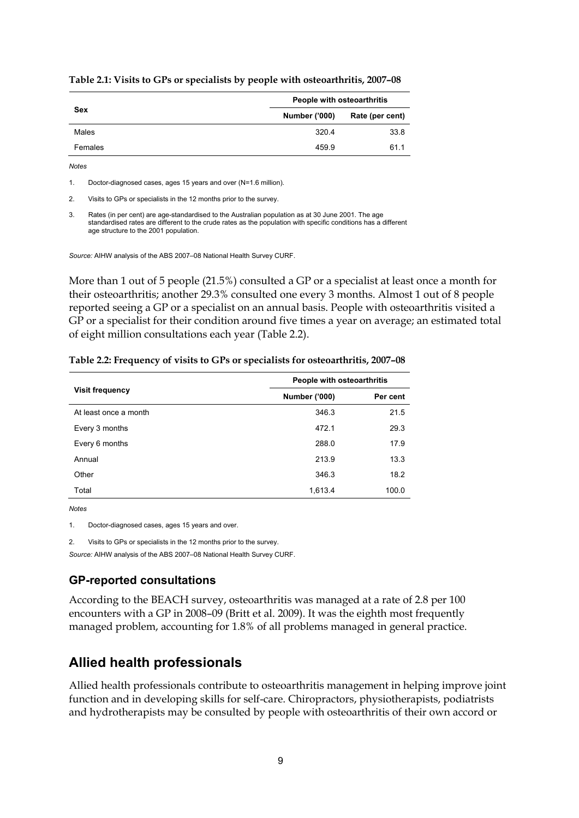|            | People with osteoarthritis |                 |  |
|------------|----------------------------|-----------------|--|
| <b>Sex</b> | <b>Number ('000)</b>       | Rate (per cent) |  |
| Males      | 320.4                      | 33.8            |  |
| Females    | 459.9                      | 61.1            |  |

<span id="page-14-0"></span>**Table 2.1: Visits to GPs or specialists by people with osteoarthritis, 2007–08** 

*Notes* 

1. Doctor-diagnosed cases, ages 15 years and over (N=1.6 million).

2. Visits to GPs or specialists in the 12 months prior to the survey.

3. Rates (in per cent) are age-standardised to the Australian population as at 30 June 2001. The age standardised rates are different to the crude rates as the population with specific conditions has a different age structure to the 2001 population.

*Source:* AIHW analysis of the ABS 2007–08 National Health Survey CURF.

More than 1 out of 5 people (21.5%) consulted a GP or a specialist at least once a month for their osteoarthritis; another 29.3% consulted one every 3 months. Almost 1 out of 8 people reported seeing a GP or a specialist on an annual basis. People with osteoarthritis visited a GP or a specialist for their condition around five times a year on average; an estimated total of eight million consultations each year (Table 2.2).

|                        | People with osteoarthritis |          |
|------------------------|----------------------------|----------|
| <b>Visit frequency</b> | <b>Number ('000)</b>       | Per cent |
| At least once a month  | 346.3                      | 21.5     |
| Every 3 months         | 472.1                      | 29.3     |
| Every 6 months         | 288.0                      | 17.9     |
| Annual                 | 213.9                      | 13.3     |
| Other                  | 346.3                      | 18.2     |
| Total                  | 1,613.4                    | 100.0    |

<span id="page-14-1"></span>**Table 2.2: Frequency of visits to GPs or specialists for osteoarthritis, 2007–08** 

*Notes* 

1. Doctor-diagnosed cases, ages 15 years and over.

2. Visits to GPs or specialists in the 12 months prior to the survey.

*Source:* AIHW analysis of the ABS 2007–08 National Health Survey CURF.

#### **GP-reported consultations**

According to the BEACH survey, osteoarthritis was managed at a rate of 2.8 per 100 encounters with a GP in 2008–09 (Britt et al. 2009). It was the eighth most frequently managed problem, accounting for 1.8% of all problems managed in general practice.

## **Allied health professionals**

Allied health professionals contribute to osteoarthritis management in helping improve joint function and in developing skills for self-care. Chiropractors, physiotherapists, podiatrists and hydrotherapists may be consulted by people with osteoarthritis of their own accord or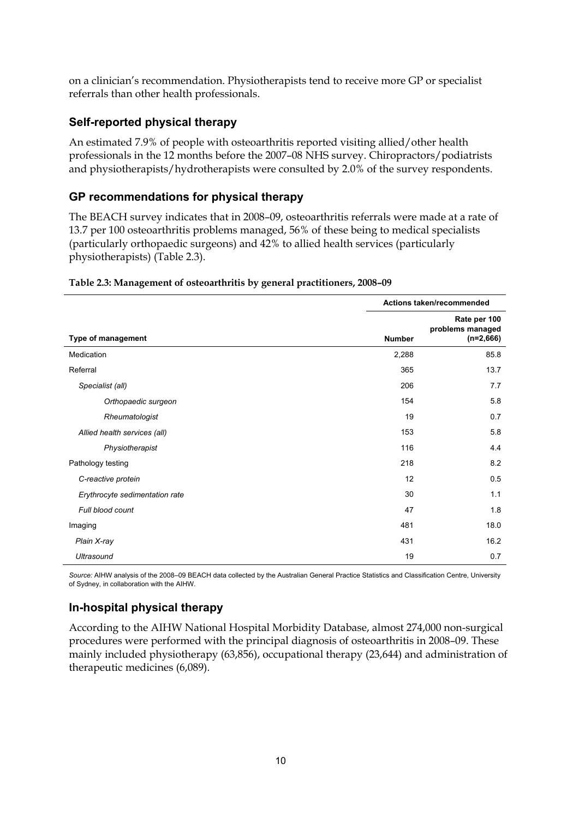on a clinician's recommendation. Physiotherapists tend to receive more GP or specialist referrals than other health professionals.

### **Self-reported physical therapy**

An estimated 7.9% of people with osteoarthritis reported visiting allied/other health professionals in the 12 months before the 2007–08 NHS survey. Chiropractors/podiatrists and physiotherapists/hydrotherapists were consulted by 2.0% of the survey respondents.

#### **GP recommendations for physical therapy**

The BEACH survey indicates that in 2008–09, osteoarthritis referrals were made at a rate of 13.7 per 100 osteoarthritis problems managed, 56% of these being to medical specialists (particularly orthopaedic surgeons) and 42% to allied health services (particularly physiotherapists) (Table 2.3).

|                                | Actions taken/recommended |                                                 |
|--------------------------------|---------------------------|-------------------------------------------------|
| Type of management             | <b>Number</b>             | Rate per 100<br>problems managed<br>$(n=2,666)$ |
| Medication                     | 2,288                     | 85.8                                            |
| Referral                       | 365                       | 13.7                                            |
| Specialist (all)               | 206                       | 7.7                                             |
| Orthopaedic surgeon            | 154                       | 5.8                                             |
| Rheumatologist                 | 19                        | 0.7                                             |
| Allied health services (all)   | 153                       | 5.8                                             |
| Physiotherapist                | 116                       | 4.4                                             |
| Pathology testing              | 218                       | 8.2                                             |
| C-reactive protein             | 12                        | 0.5                                             |
| Erythrocyte sedimentation rate | 30                        | 1.1                                             |
| Full blood count               | 47                        | 1.8                                             |
| Imaging                        | 481                       | 18.0                                            |
| Plain X-ray                    | 431                       | 16.2                                            |
| <b>Ultrasound</b>              | 19                        | 0.7                                             |

#### <span id="page-15-0"></span>**Table 2.3: Management of osteoarthritis by general practitioners, 2008–09**

*Source:* AIHW analysis of the 2008–09 BEACH data collected by the Australian General Practice Statistics and Classification Centre, University of Sydney, in collaboration with the AIHW.

### **In-hospital physical therapy**

According to the AIHW National Hospital Morbidity Database, almost 274,000 non-surgical procedures were performed with the principal diagnosis of osteoarthritis in 2008–09. These mainly included physiotherapy (63,856), occupational therapy (23,644) and administration of therapeutic medicines (6,089).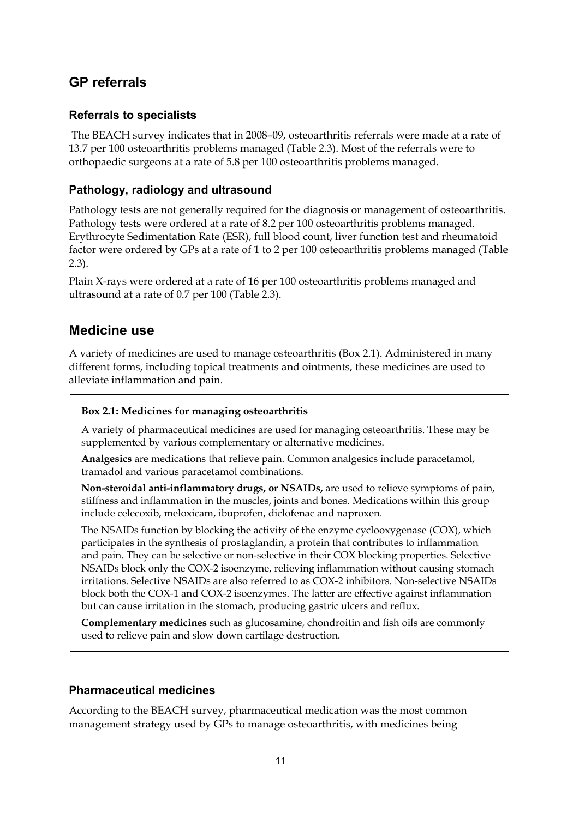## **GP referrals**

### **Referrals to specialists**

 The BEACH survey indicates that in 2008–09, osteoarthritis referrals were made at a rate of 13.7 per 100 osteoarthritis problems managed (Table 2.3). Most of the referrals were to orthopaedic surgeons at a rate of 5.8 per 100 osteoarthritis problems managed.

### **Pathology, radiology and ultrasound**

Pathology tests are not generally required for the diagnosis or management of osteoarthritis. Pathology tests were ordered at a rate of 8.2 per 100 osteoarthritis problems managed. Erythrocyte Sedimentation Rate (ESR), full blood count, liver function test and rheumatoid factor were ordered by GPs at a rate of 1 to 2 per 100 osteoarthritis problems managed (Table 2.3).

Plain X-rays were ordered at a rate of 16 per 100 osteoarthritis problems managed and ultrasound at a rate of 0.7 per 100 (Table 2.3).

## **Medicine use**

A variety of medicines are used to manage osteoarthritis (Box 2.1). Administered in many different forms, including topical treatments and ointments, these medicines are used to alleviate inflammation and pain.

#### **Box 2.1: Medicines for managing osteoarthritis**

A variety of pharmaceutical medicines are used for managing osteoarthritis. These may be supplemented by various complementary or alternative medicines.

**Analgesics** are medications that relieve pain. Common analgesics include paracetamol, tramadol and various paracetamol combinations.

**Non-steroidal anti-inflammatory drugs, or NSAIDs,** are used to relieve symptoms of pain, stiffness and inflammation in the muscles, joints and bones. Medications within this group include celecoxib, meloxicam, ibuprofen, diclofenac and naproxen.

The NSAIDs function by blocking the activity of the enzyme cyclooxygenase (COX), which participates in the synthesis of prostaglandin, a protein that contributes to inflammation and pain. They can be selective or non-selective in their COX blocking properties. Selective NSAIDs block only the COX-2 isoenzyme, relieving inflammation without causing stomach irritations. Selective NSAIDs are also referred to as COX-2 inhibitors. Non-selective NSAIDs block both the COX-1 and COX-2 isoenzymes. The latter are effective against inflammation but can cause irritation in the stomach, producing gastric ulcers and reflux.

**Complementary medicines** such as glucosamine, chondroitin and fish oils are commonly used to relieve pain and slow down cartilage destruction.

#### **Pharmaceutical medicines**

According to the BEACH survey, pharmaceutical medication was the most common management strategy used by GPs to manage osteoarthritis, with medicines being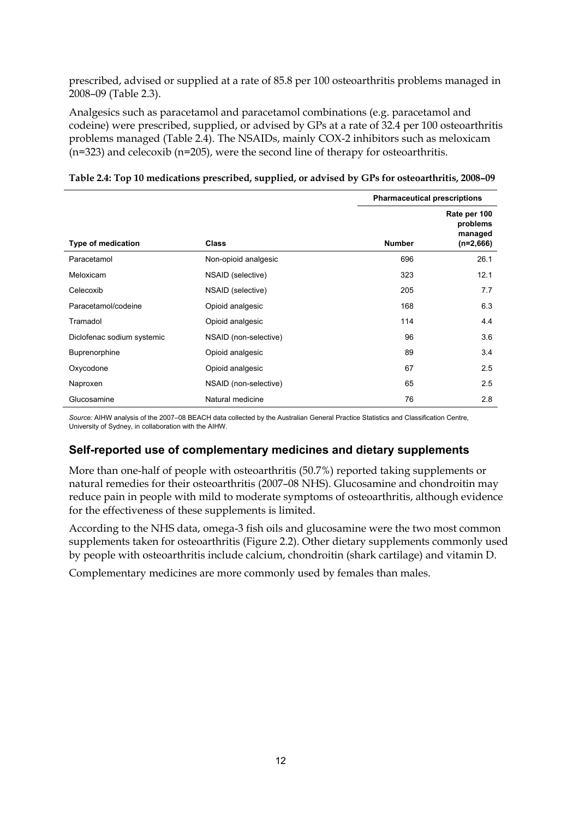prescribed, advised or supplied at a rate of 85.8 per 100 osteoarthritis problems managed in 2008–09 (Table 2.3).

Analgesics such as paracetamol and paracetamol combinations (e.g. paracetamol and codeine) were prescribed, supplied, or advised by GPs at a rate of 32.4 per 100 osteoarthritis problems managed (Table 2.4). The NSAIDs, mainly COX-2 inhibitors such as meloxicam (n=323) and celecoxib (n=205), were the second line of therapy for osteoarthritis.

|  |  | Table 2.4: Top 10 medications prescribed, supplied, or advised by GPs for osteoarthritis, 2008-09 |  |
|--|--|---------------------------------------------------------------------------------------------------|--|
|  |  |                                                                                                   |  |

<span id="page-17-0"></span>

|                            |                       | <b>Pharmaceutical prescriptions</b> |                                                    |
|----------------------------|-----------------------|-------------------------------------|----------------------------------------------------|
| <b>Type of medication</b>  | <b>Class</b>          | <b>Number</b>                       | Rate per 100<br>problems<br>managed<br>$(n=2,666)$ |
| Paracetamol                | Non-opioid analgesic  | 696                                 | 26.1                                               |
| Meloxicam                  | NSAID (selective)     | 323                                 | 12.1                                               |
| Celecoxib                  | NSAID (selective)     | 205                                 | 7.7                                                |
| Paracetamol/codeine        | Opioid analgesic      | 168                                 | 6.3                                                |
| Tramadol                   | Opioid analgesic      | 114                                 | 4.4                                                |
| Diclofenac sodium systemic | NSAID (non-selective) | 96                                  | 3.6                                                |
| Buprenorphine              | Opioid analgesic      | 89                                  | 3.4                                                |
| Oxycodone                  | Opioid analgesic      | 67                                  | 2.5                                                |
| Naproxen                   | NSAID (non-selective) | 65                                  | 2.5                                                |
| Glucosamine                | Natural medicine      | 76                                  | 2.8                                                |

*Source:* AIHW analysis of the 2007–08 BEACH data collected by the Australian General Practice Statistics and Classification Centre, University of Sydney, in collaboration with the AIHW.

### **Self-reported use of complementary medicines and dietary supplements**

More than one-half of people with osteoarthritis (50.7%) reported taking supplements or natural remedies for their osteoarthritis (2007–08 NHS). Glucosamine and chondroitin may reduce pain in people with mild to moderate symptoms of osteoarthritis, although evidence for the effectiveness of these supplements is limited.

According to the NHS data, omega-3 fish oils and glucosamine were the two most common supplements taken for osteoarthritis (Figure 2.2). Other dietary supplements commonly used by people with osteoarthritis include calcium, chondroitin (shark cartilage) and vitamin D.

Complementary medicines are more commonly used by females than males.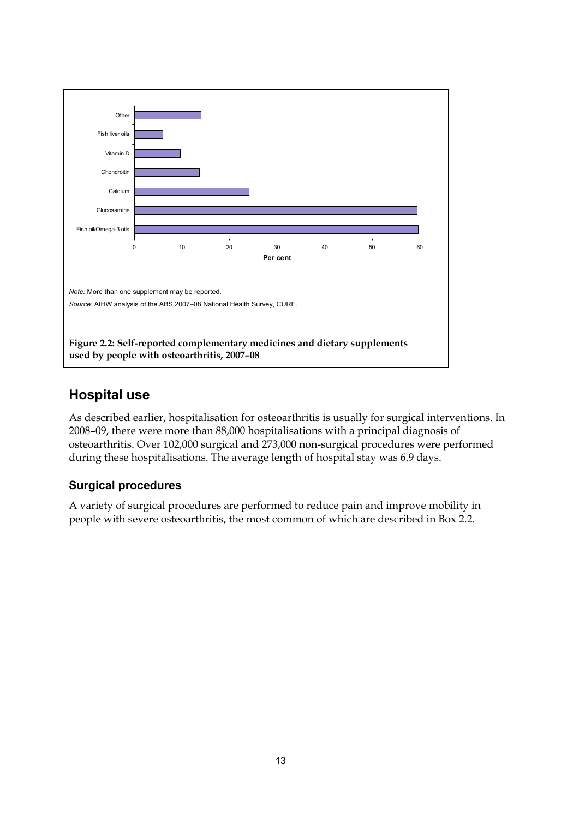

## <span id="page-18-0"></span>**Hospital use**

As described earlier, hospitalisation for osteoarthritis is usually for surgical interventions. In 2008–09, there were more than 88,000 hospitalisations with a principal diagnosis of osteoarthritis. Over 102,000 surgical and 273,000 non-surgical procedures were performed during these hospitalisations. The average length of hospital stay was 6.9 days.

## **Surgical procedures**

A variety of surgical procedures are performed to reduce pain and improve mobility in people with severe osteoarthritis, the most common of which are described in Box 2.2.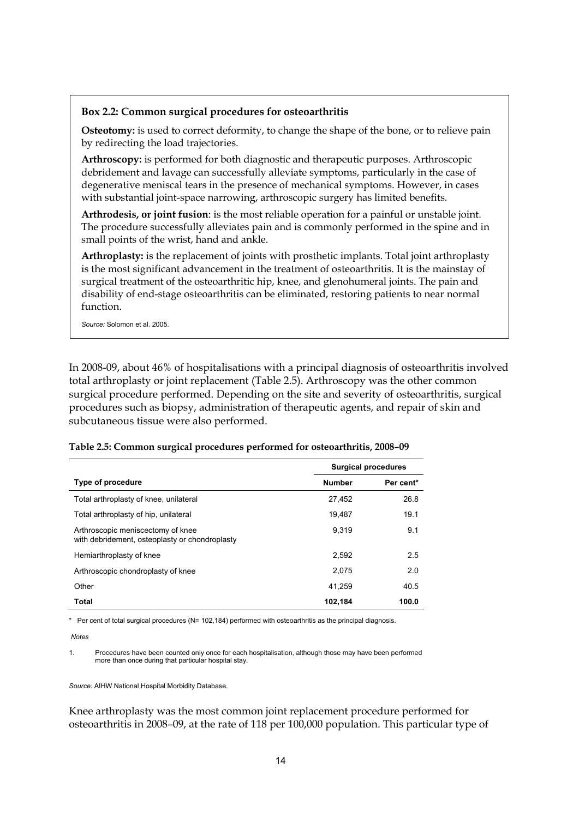#### **Box 2.2: Common surgical procedures for osteoarthritis**

**Osteotomy:** is used to correct deformity, to change the shape of the bone, or to relieve pain by redirecting the load trajectories.

**Arthroscopy:** is performed for both diagnostic and therapeutic purposes. Arthroscopic debridement and lavage can successfully alleviate symptoms, particularly in the case of degenerative meniscal tears in the presence of mechanical symptoms. However, in cases with substantial joint-space narrowing, arthroscopic surgery has limited benefits.

**Arthrodesis, or joint fusion**: is the most reliable operation for a painful or unstable joint. The procedure successfully alleviates pain and is commonly performed in the spine and in small points of the wrist, hand and ankle.

**Arthroplasty:** is the replacement of joints with prosthetic implants. Total joint arthroplasty is the most significant advancement in the treatment of osteoarthritis. It is the mainstay of surgical treatment of the osteoarthritic hip, knee, and glenohumeral joints. The pain and disability of end-stage osteoarthritis can be eliminated, restoring patients to near normal function.

*Source:* Solomon et al. 2005.

In 2008-09, about 46% of hospitalisations with a principal diagnosis of osteoarthritis involved total arthroplasty or joint replacement (Table 2.5). Arthroscopy was the other common surgical procedure performed. Depending on the site and severity of osteoarthritis, surgical procedures such as biopsy, administration of therapeutic agents, and repair of skin and subcutaneous tissue were also performed.

|                                                                                     | <b>Surgical procedures</b> |           |
|-------------------------------------------------------------------------------------|----------------------------|-----------|
| Type of procedure                                                                   | <b>Number</b>              | Per cent* |
| Total arthroplasty of knee, unilateral                                              | 27,452                     | 26.8      |
| Total arthroplasty of hip, unilateral                                               | 19.487                     | 19.1      |
| Arthroscopic meniscectomy of knee<br>with debridement, osteoplasty or chondroplasty | 9.319                      | 9.1       |
| Hemiarthroplasty of knee                                                            | 2.592                      | 2.5       |
| Arthroscopic chondroplasty of knee                                                  | 2.075                      | 2.0       |
| Other                                                                               | 41.259                     | 40.5      |
| <b>Total</b>                                                                        | 102.184                    | 100.0     |

#### <span id="page-19-0"></span>**Table 2.5: Common surgical procedures performed for osteoarthritis, 2008–09**

\* Per cent of total surgical procedures (N= 102,184) performed with osteoarthritis as the principal diagnosis.

 *Notes* 

1. Procedures have been counted only once for each hospitalisation, although those may have been performed more than once during that particular hospital stay.

*Source:* AIHW National Hospital Morbidity Database.

Knee arthroplasty was the most common joint replacement procedure performed for osteoarthritis in 2008–09, at the rate of 118 per 100,000 population. This particular type of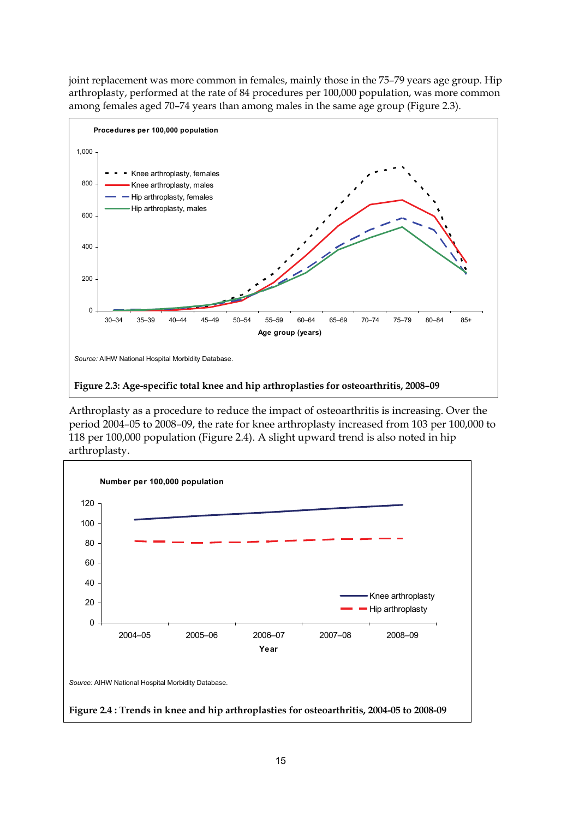joint replacement was more common in females, mainly those in the 75–79 years age group. Hip arthroplasty, performed at the rate of 84 procedures per 100,000 population, was more common among females aged 70–74 years than among males in the same age group (Figure 2.3).



<span id="page-20-0"></span>Arthroplasty as a procedure to reduce the impact of osteoarthritis is increasing. Over the period 2004–05 to 2008–09, the rate for knee arthroplasty increased from 103 per 100,000 to 118 per 100,000 population (Figure 2.4). A slight upward trend is also noted in hip arthroplasty.

<span id="page-20-1"></span>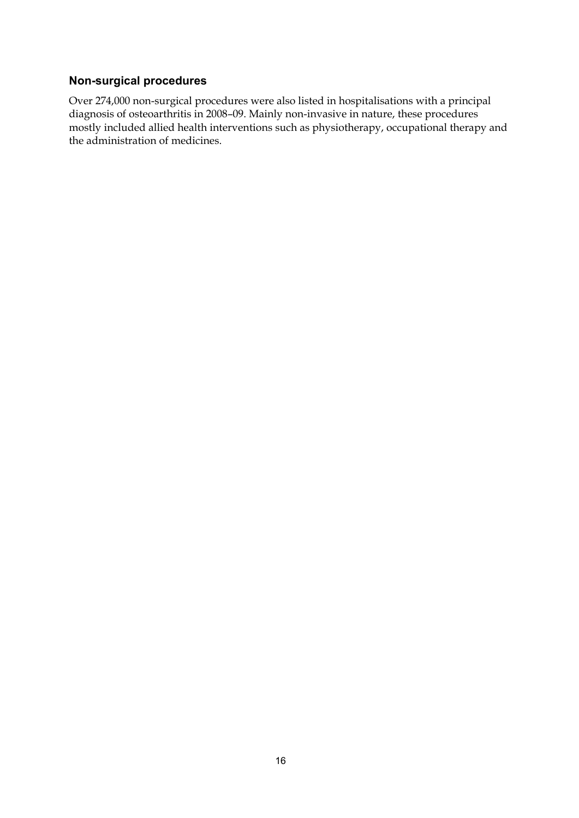#### **Non-surgical procedures**

Over 274,000 non-surgical procedures were also listed in hospitalisations with a principal diagnosis of osteoarthritis in 2008–09. Mainly non-invasive in nature, these procedures mostly included allied health interventions such as physiotherapy, occupational therapy and the administration of medicines.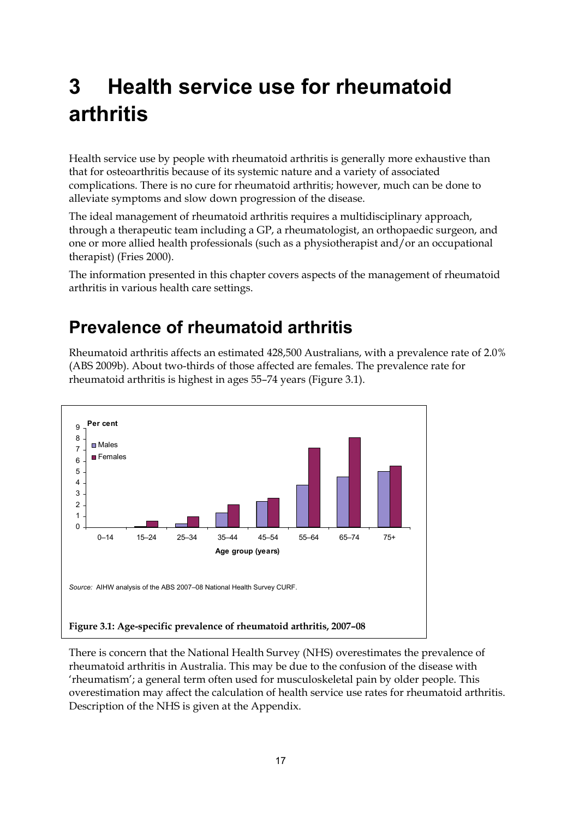# <span id="page-22-0"></span>**3 Health service use for rheumatoid arthritis**

Health service use by people with rheumatoid arthritis is generally more exhaustive than that for osteoarthritis because of its systemic nature and a variety of associated complications. There is no cure for rheumatoid arthritis; however, much can be done to alleviate symptoms and slow down progression of the disease.

The ideal management of rheumatoid arthritis requires a multidisciplinary approach, through a therapeutic team including a GP, a rheumatologist, an orthopaedic surgeon, and one or more allied health professionals (such as a physiotherapist and/or an occupational therapist) (Fries 2000).

The information presented in this chapter covers aspects of the management of rheumatoid arthritis in various health care settings.

## <span id="page-22-1"></span>**Prevalence of rheumatoid arthritis**

Rheumatoid arthritis affects an estimated 428,500 Australians, with a prevalence rate of 2.0% (ABS 2009b). About two-thirds of those affected are females. The prevalence rate for rheumatoid arthritis is highest in ages 55–74 years (Figure 3.1).



<span id="page-22-2"></span>There is concern that the National Health Survey (NHS) overestimates the prevalence of rheumatoid arthritis in Australia. This may be due to the confusion of the disease with 'rheumatism'; a general term often used for musculoskeletal pain by older people. This overestimation may affect the calculation of health service use rates for rheumatoid arthritis. Description of the NHS is given at the Appendix.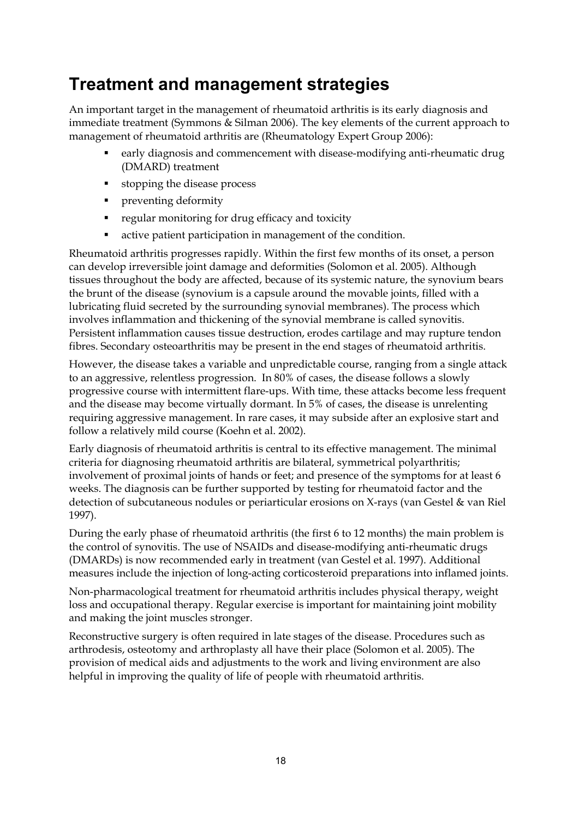## <span id="page-23-0"></span>**Treatment and management strategies**

An important target in the management of rheumatoid arthritis is its early diagnosis and immediate treatment (Symmons & Silman 2006). The key elements of the current approach to management of rheumatoid arthritis are (Rheumatology Expert Group 2006):

- early diagnosis and commencement with disease-modifying anti-rheumatic drug (DMARD) treatment
- stopping the disease process
- **•** preventing deformity
- **regular monitoring for drug efficacy and toxicity**
- active patient participation in management of the condition.

Rheumatoid arthritis progresses rapidly. Within the first few months of its onset, a person can develop irreversible joint damage and deformities (Solomon et al. 2005). Although tissues throughout the body are affected, because of its systemic nature, the synovium bears the brunt of the disease (synovium is a capsule around the movable joints, filled with a lubricating fluid secreted by the surrounding synovial membranes). The process which involves inflammation and thickening of the synovial membrane is called synovitis. Persistent inflammation causes tissue destruction, erodes cartilage and may rupture tendon fibres. Secondary osteoarthritis may be present in the end stages of rheumatoid arthritis.

However, the disease takes a variable and unpredictable course, ranging from a single attack to an aggressive, relentless progression. In 80% of cases, the disease follows a slowly progressive course with intermittent flare-ups. With time, these attacks become less frequent and the disease may become virtually dormant. In 5% of cases, the disease is unrelenting requiring aggressive management. In rare cases, it may subside after an explosive start and follow a relatively mild course (Koehn et al. 2002).

Early diagnosis of rheumatoid arthritis is central to its effective management. The minimal criteria for diagnosing rheumatoid arthritis are bilateral, symmetrical polyarthritis; involvement of proximal joints of hands or feet; and presence of the symptoms for at least 6 weeks. The diagnosis can be further supported by testing for rheumatoid factor and the detection of subcutaneous nodules or periarticular erosions on X-rays (van Gestel & van Riel 1997).

During the early phase of rheumatoid arthritis (the first 6 to 12 months) the main problem is the control of synovitis. The use of NSAIDs and disease-modifying anti-rheumatic drugs (DMARDs) is now recommended early in treatment (van Gestel et al. 1997). Additional measures include the injection of long-acting corticosteroid preparations into inflamed joints.

Non-pharmacological treatment for rheumatoid arthritis includes physical therapy, weight loss and occupational therapy. Regular exercise is important for maintaining joint mobility and making the joint muscles stronger.

Reconstructive surgery is often required in late stages of the disease. Procedures such as arthrodesis, osteotomy and arthroplasty all have their place (Solomon et al. 2005). The provision of medical aids and adjustments to the work and living environment are also helpful in improving the quality of life of people with rheumatoid arthritis.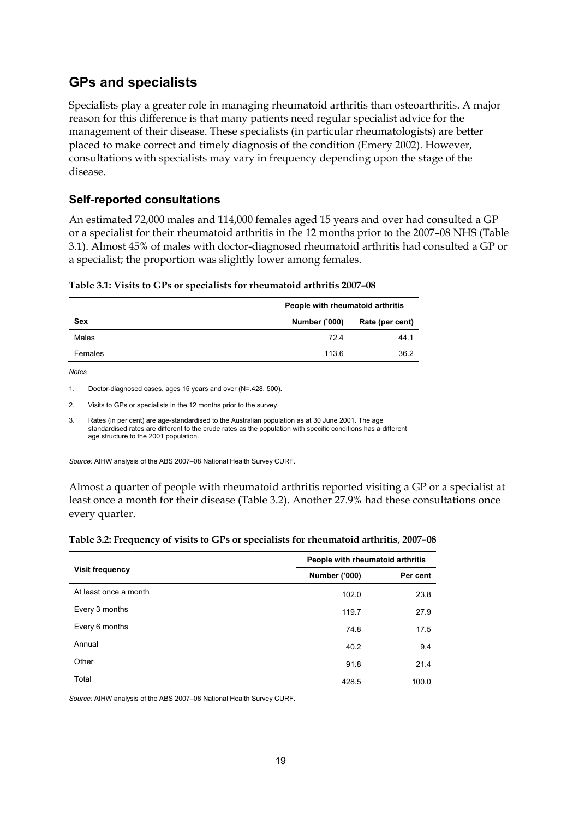## **GPs and specialists**

Specialists play a greater role in managing rheumatoid arthritis than osteoarthritis. A major reason for this difference is that many patients need regular specialist advice for the management of their disease. These specialists (in particular rheumatologists) are better placed to make correct and timely diagnosis of the condition (Emery 2002). However, consultations with specialists may vary in frequency depending upon the stage of the disease.

### **Self-reported consultations**

An estimated 72,000 males and 114,000 females aged 15 years and over had consulted a GP or a specialist for their rheumatoid arthritis in the 12 months prior to the 2007–08 NHS (Table 3.1). Almost 45% of males with doctor-diagnosed rheumatoid arthritis had consulted a GP or a specialist; the proportion was slightly lower among females.

<span id="page-24-0"></span>

|  | Table 3.1: Visits to GPs or specialists for rheumatoid arthritis 2007-08 |  |
|--|--------------------------------------------------------------------------|--|
|--|--------------------------------------------------------------------------|--|

|            | People with rheumatoid arthritis |                 |  |
|------------|----------------------------------|-----------------|--|
| <b>Sex</b> | <b>Number ('000)</b>             | Rate (per cent) |  |
| Males      | 724                              | 44.1            |  |
| Females    | 113.6                            | 36.2            |  |

*Notes* 

1. Doctor-diagnosed cases, ages 15 years and over (N=.428, 500).

2. Visits to GPs or specialists in the 12 months prior to the survey.

3. Rates (in per cent) are age-standardised to the Australian population as at 30 June 2001. The age standardised rates are different to the crude rates as the population with specific conditions has a different age structure to the 2001 population.

*Source:* AIHW analysis of the ABS 2007–08 National Health Survey CURF.

Almost a quarter of people with rheumatoid arthritis reported visiting a GP or a specialist at least once a month for their disease (Table 3.2). Another 27.9% had these consultations once every quarter.

<span id="page-24-1"></span>

| Table 3.2: Frequency of visits to GPs or specialists for rheumatoid arthritis, 2007-08 |  |  |
|----------------------------------------------------------------------------------------|--|--|
|                                                                                        |  |  |

|                        | People with rheumatoid arthritis |          |
|------------------------|----------------------------------|----------|
| <b>Visit frequency</b> | <b>Number ('000)</b>             | Per cent |
| At least once a month  | 102.0                            | 23.8     |
| Every 3 months         | 119.7                            | 27.9     |
| Every 6 months         | 74.8                             | 17.5     |
| Annual                 | 40.2                             | 9.4      |
| Other                  | 91.8                             | 21.4     |
| Total                  | 428.5                            | 100.0    |

*Source:* AIHW analysis of the ABS 2007–08 National Health Survey CURF.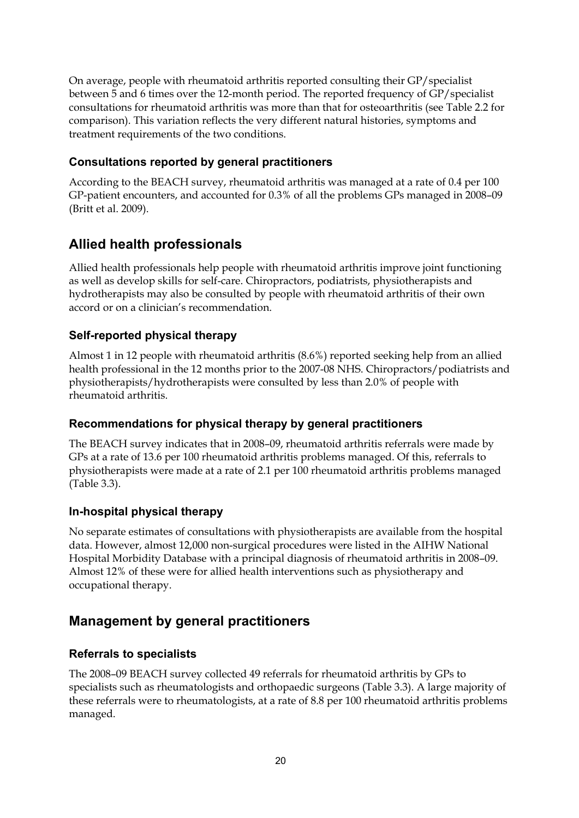On average, people with rheumatoid arthritis reported consulting their GP/specialist between 5 and 6 times over the 12-month period. The reported frequency of GP/specialist consultations for rheumatoid arthritis was more than that for osteoarthritis (see Table 2.2 for comparison). This variation reflects the very different natural histories, symptoms and treatment requirements of the two conditions.

## **Consultations reported by general practitioners**

According to the BEACH survey, rheumatoid arthritis was managed at a rate of 0.4 per 100 GP-patient encounters, and accounted for 0.3% of all the problems GPs managed in 2008–09 (Britt et al. 2009).

## **Allied health professionals**

Allied health professionals help people with rheumatoid arthritis improve joint functioning as well as develop skills for self-care. Chiropractors, podiatrists, physiotherapists and hydrotherapists may also be consulted by people with rheumatoid arthritis of their own accord or on a clinician's recommendation.

## **Self-reported physical therapy**

Almost 1 in 12 people with rheumatoid arthritis (8.6%) reported seeking help from an allied health professional in the 12 months prior to the 2007-08 NHS. Chiropractors/podiatrists and physiotherapists/hydrotherapists were consulted by less than 2.0% of people with rheumatoid arthritis.

### **Recommendations for physical therapy by general practitioners**

The BEACH survey indicates that in 2008–09, rheumatoid arthritis referrals were made by GPs at a rate of 13.6 per 100 rheumatoid arthritis problems managed. Of this, referrals to physiotherapists were made at a rate of 2.1 per 100 rheumatoid arthritis problems managed (Table 3.3).

### **In-hospital physical therapy**

No separate estimates of consultations with physiotherapists are available from the hospital data. However, almost 12,000 non-surgical procedures were listed in the AIHW National Hospital Morbidity Database with a principal diagnosis of rheumatoid arthritis in 2008–09. Almost 12% of these were for allied health interventions such as physiotherapy and occupational therapy.

## **Management by general practitioners**

### **Referrals to specialists**

The 2008–09 BEACH survey collected 49 referrals for rheumatoid arthritis by GPs to specialists such as rheumatologists and orthopaedic surgeons (Table 3.3). A large majority of these referrals were to rheumatologists, at a rate of 8.8 per 100 rheumatoid arthritis problems managed.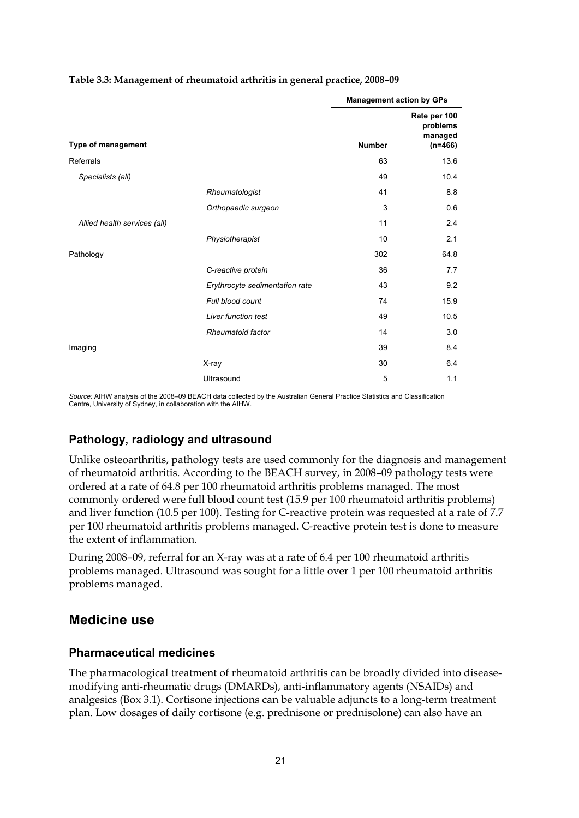|                              |                                | <b>Management action by GPs</b> |                                                  |
|------------------------------|--------------------------------|---------------------------------|--------------------------------------------------|
| Type of management           |                                | <b>Number</b>                   | Rate per 100<br>problems<br>managed<br>$(n=466)$ |
| Referrals                    |                                | 63                              | 13.6                                             |
| Specialists (all)            |                                | 49                              | 10.4                                             |
|                              | Rheumatologist                 | 41                              | 8.8                                              |
|                              | Orthopaedic surgeon            | 3                               | 0.6                                              |
| Allied health services (all) |                                | 11                              | 2.4                                              |
|                              | Physiotherapist                | 10                              | 2.1                                              |
| Pathology                    |                                | 302                             | 64.8                                             |
|                              | C-reactive protein             | 36                              | 7.7                                              |
|                              | Erythrocyte sedimentation rate | 43                              | 9.2                                              |
|                              | Full blood count               | 74                              | 15.9                                             |
|                              | <b>Liver function test</b>     | 49                              | 10.5                                             |
|                              | Rheumatoid factor              | 14                              | 3.0                                              |
| Imaging                      |                                | 39                              | 8.4                                              |
|                              | X-ray                          | 30                              | 6.4                                              |
|                              | Ultrasound                     | 5                               | 1.1                                              |

#### <span id="page-26-0"></span>**Table 3.3: Management of rheumatoid arthritis in general practice, 2008–09**

*Source:* AIHW analysis of the 2008–09 BEACH data collected by the Australian General Practice Statistics and Classification Centre, University of Sydney, in collaboration with the AIHW.

#### **Pathology, radiology and ultrasound**

Unlike osteoarthritis, pathology tests are used commonly for the diagnosis and management of rheumatoid arthritis. According to the BEACH survey, in 2008–09 pathology tests were ordered at a rate of 64.8 per 100 rheumatoid arthritis problems managed. The most commonly ordered were full blood count test (15.9 per 100 rheumatoid arthritis problems) and liver function (10.5 per 100). Testing for C-reactive protein was requested at a rate of 7.7 per 100 rheumatoid arthritis problems managed. C-reactive protein test is done to measure the extent of inflammation.

During 2008–09, referral for an X-ray was at a rate of 6.4 per 100 rheumatoid arthritis problems managed. Ultrasound was sought for a little over 1 per 100 rheumatoid arthritis problems managed.

### **Medicine use**

#### **Pharmaceutical medicines**

The pharmacological treatment of rheumatoid arthritis can be broadly divided into diseasemodifying anti-rheumatic drugs (DMARDs), anti-inflammatory agents (NSAIDs) and analgesics (Box 3.1). Cortisone injections can be valuable adjuncts to a long-term treatment plan. Low dosages of daily cortisone (e.g. prednisone or prednisolone) can also have an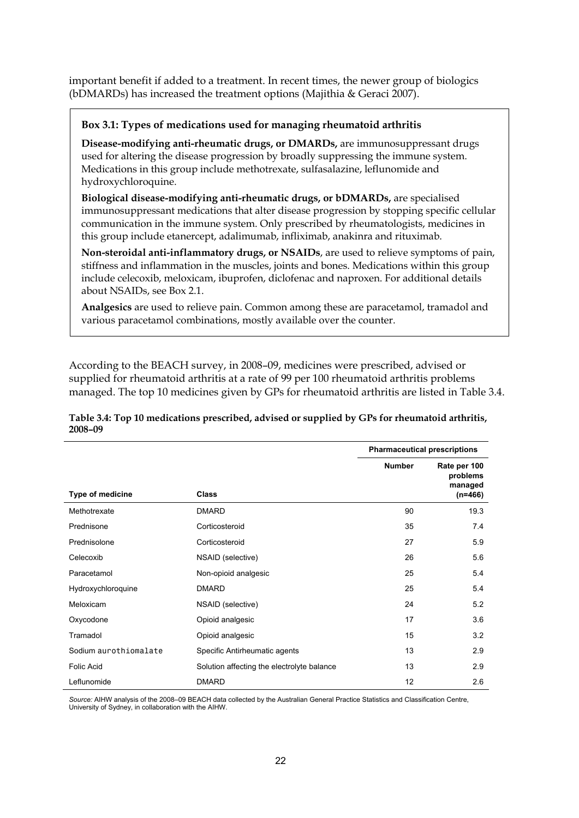important benefit if added to a treatment. In recent times, the newer group of biologics (bDMARDs) has increased the treatment options (Majithia & Geraci 2007).

#### **Box 3.1: Types of medications used for managing rheumatoid arthritis**

**Disease-modifying anti-rheumatic drugs, or DMARDs,** are immunosuppressant drugs used for altering the disease progression by broadly suppressing the immune system. Medications in this group include methotrexate, sulfasalazine, leflunomide and hydroxychloroquine.

**Biological disease-modifying anti-rheumatic drugs, or bDMARDs,** are specialised immunosuppressant medications that alter disease progression by stopping specific cellular communication in the immune system. Only prescribed by rheumatologists, medicines in this group include etanercept, adalimumab, infliximab, anakinra and rituximab.

**Non-steroidal anti-inflammatory drugs, or NSAIDs**, are used to relieve symptoms of pain, stiffness and inflammation in the muscles, joints and bones. Medications within this group include celecoxib, meloxicam, ibuprofen, diclofenac and naproxen. For additional details about NSAIDs, see Box 2.1.

**Analgesics** are used to relieve pain. Common among these are paracetamol, tramadol and various paracetamol combinations, mostly available over the counter.

According to the BEACH survey, in 2008–09, medicines were prescribed, advised or supplied for rheumatoid arthritis at a rate of 99 per 100 rheumatoid arthritis problems managed. The top 10 medicines given by GPs for rheumatoid arthritis are listed in Table 3.4.

#### <span id="page-27-0"></span>**Table 3.4: Top 10 medications prescribed, advised or supplied by GPs for rheumatoid arthritis, 2008–09**

|                         |                                            | <b>Pharmaceutical prescriptions</b> |                                                  |
|-------------------------|--------------------------------------------|-------------------------------------|--------------------------------------------------|
| <b>Type of medicine</b> | Class                                      | <b>Number</b>                       | Rate per 100<br>problems<br>managed<br>$(n=466)$ |
| Methotrexate            | <b>DMARD</b>                               | 90                                  | 19.3                                             |
| Prednisone              | Corticosteroid                             | 35                                  | 7.4                                              |
| Prednisolone            | Corticosteroid                             | 27                                  | 5.9                                              |
| Celecoxib               | NSAID (selective)                          | 26                                  | 5.6                                              |
| Paracetamol             | Non-opioid analgesic                       | 25                                  | 5.4                                              |
| Hydroxychloroquine      | <b>DMARD</b>                               | 25                                  | 5.4                                              |
| Meloxicam               | NSAID (selective)                          | 24                                  | 5.2                                              |
| Oxycodone               | Opioid analgesic                           | 17                                  | 3.6                                              |
| Tramadol                | Opioid analgesic                           | 15                                  | 3.2                                              |
| Sodium aurothiomalate   | Specific Antirheumatic agents              | 13                                  | 2.9                                              |
| <b>Folic Acid</b>       | Solution affecting the electrolyte balance | 13                                  | 2.9                                              |
| Leflunomide             | <b>DMARD</b>                               | 12                                  | 2.6                                              |

*Source:* AIHW analysis of the 2008–09 BEACH data collected by the Australian General Practice Statistics and Classification Centre, University of Sydney, in collaboration with the AIHW.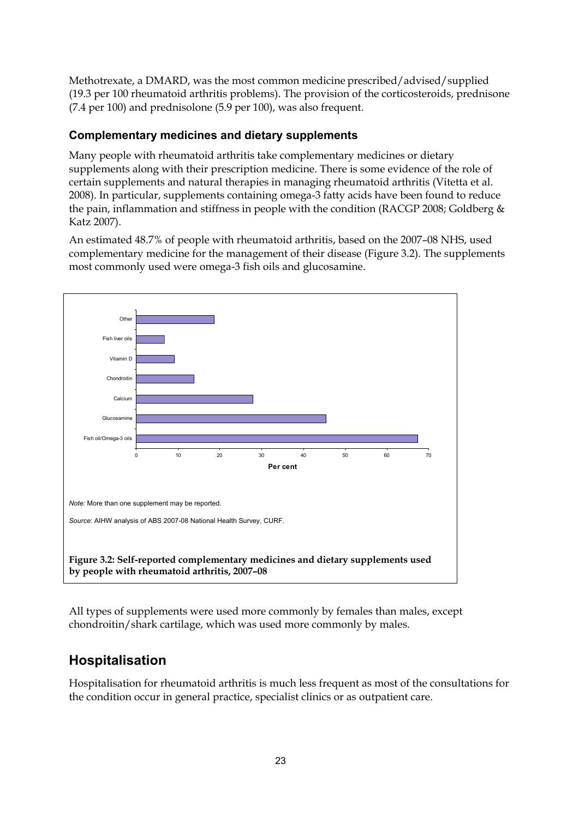Methotrexate, a DMARD, was the most common medicine prescribed/advised/supplied (19.3 per 100 rheumatoid arthritis problems). The provision of the corticosteroids, prednisone (7.4 per 100) and prednisolone (5.9 per 100), was also frequent.

## **Complementary medicines and dietary supplements**

Many people with rheumatoid arthritis take complementary medicines or dietary supplements along with their prescription medicine. There is some evidence of the role of certain supplements and natural therapies in managing rheumatoid arthritis (Vitetta et al. 2008). In particular, supplements containing omega-3 fatty acids have been found to reduce the pain, inflammation and stiffness in people with the condition (RACGP 2008; Goldberg & Katz 2007).

An estimated 48.7% of people with rheumatoid arthritis, based on the 2007–08 NHS, used complementary medicine for the management of their disease (Figure 3.2). The supplements most commonly used were omega-3 fish oils and glucosamine.



<span id="page-28-0"></span>All types of supplements were used more commonly by females than males, except chondroitin/shark cartilage, which was used more commonly by males.

## **Hospitalisation**

Hospitalisation for rheumatoid arthritis is much less frequent as most of the consultations for the condition occur in general practice, specialist clinics or as outpatient care.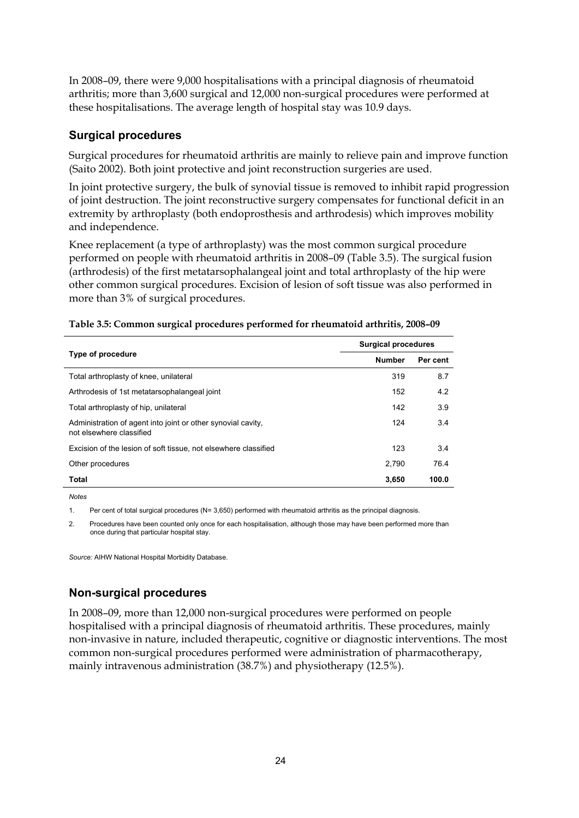In 2008–09, there were 9,000 hospitalisations with a principal diagnosis of rheumatoid arthritis; more than 3,600 surgical and 12,000 non-surgical procedures were performed at these hospitalisations. The average length of hospital stay was 10.9 days.

### **Surgical procedures**

Surgical procedures for rheumatoid arthritis are mainly to relieve pain and improve function (Saito 2002). Both joint protective and joint reconstruction surgeries are used.

In joint protective surgery, the bulk of synovial tissue is removed to inhibit rapid progression of joint destruction. The joint reconstructive surgery compensates for functional deficit in an extremity by arthroplasty (both endoprosthesis and arthrodesis) which improves mobility and independence.

Knee replacement (a type of arthroplasty) was the most common surgical procedure performed on people with rheumatoid arthritis in 2008–09 (Table 3.5). The surgical fusion (arthrodesis) of the first metatarsophalangeal joint and total arthroplasty of the hip were other common surgical procedures. Excision of lesion of soft tissue was also performed in more than 3% of surgical procedures.

|                                                                                          | <b>Surgical procedures</b> |          |  |
|------------------------------------------------------------------------------------------|----------------------------|----------|--|
| Type of procedure                                                                        | <b>Number</b>              | Per cent |  |
| Total arthroplasty of knee, unilateral                                                   | 319                        | 8.7      |  |
| Arthrodesis of 1st metatarsophalangeal joint                                             | 152                        | 4.2      |  |
| Total arthroplasty of hip, unilateral                                                    | 142                        | 3.9      |  |
| Administration of agent into joint or other synovial cavity,<br>not elsewhere classified | 124                        | 3.4      |  |
| Excision of the lesion of soft tissue, not elsewhere classified                          | 123                        | 3.4      |  |
| Other procedures                                                                         | 2.790                      | 76.4     |  |
| Total                                                                                    | 3,650                      | 100.0    |  |

<span id="page-29-0"></span>

| Table 3.5: Common surgical procedures performed for rheumatoid arthritis, 2008-09 |  |  |
|-----------------------------------------------------------------------------------|--|--|
|                                                                                   |  |  |

*Notes*

1. Per cent of total surgical procedures (N= 3,650) performed with rheumatoid arthritis as the principal diagnosis.

2. Procedures have been counted only once for each hospitalisation, although those may have been performed more than once during that particular hospital stay.

*Source:* AIHW National Hospital Morbidity Database.

### **Non-surgical procedures**

In 2008–09, more than 12,000 non-surgical procedures were performed on people hospitalised with a principal diagnosis of rheumatoid arthritis. These procedures, mainly non-invasive in nature, included therapeutic, cognitive or diagnostic interventions. The most common non-surgical procedures performed were administration of pharmacotherapy, mainly intravenous administration (38.7%) and physiotherapy (12.5%).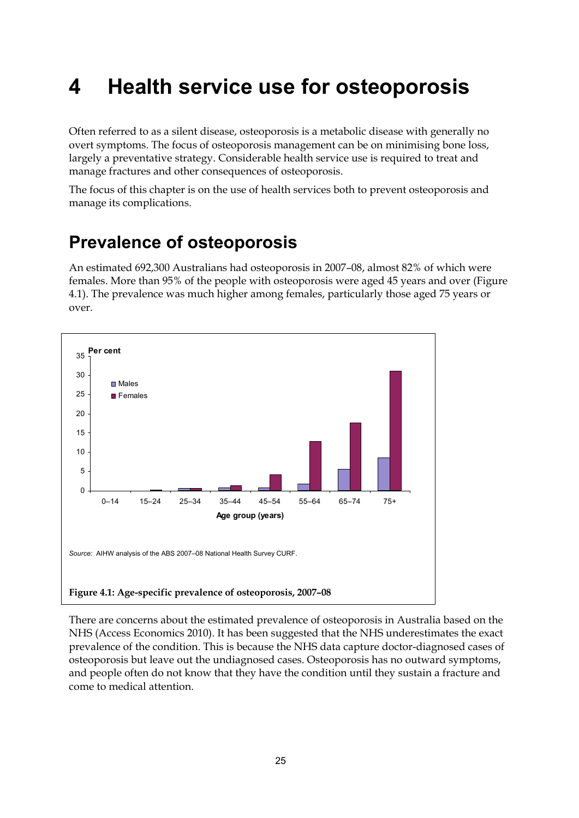# <span id="page-30-0"></span>**4 Health service use for osteoporosis**

Often referred to as a silent disease, osteoporosis is a metabolic disease with generally no overt symptoms. The focus of osteoporosis management can be on minimising bone loss, largely a preventative strategy. Considerable health service use is required to treat and manage fractures and other consequences of osteoporosis.

The focus of this chapter is on the use of health services both to prevent osteoporosis and manage its complications.

## <span id="page-30-1"></span>**Prevalence of osteoporosis**

An estimated 692,300 Australians had osteoporosis in 2007–08, almost 82% of which were females. More than 95% of the people with osteoporosis were aged 45 years and over (Figure 4.1). The prevalence was much higher among females, particularly those aged 75 years or over.



<span id="page-30-2"></span>There are concerns about the estimated prevalence of osteoporosis in Australia based on the NHS (Access Economics 2010). It has been suggested that the NHS underestimates the exact prevalence of the condition. This is because the NHS data capture doctor-diagnosed cases of osteoporosis but leave out the undiagnosed cases. Osteoporosis has no outward symptoms, and people often do not know that they have the condition until they sustain a fracture and come to medical attention.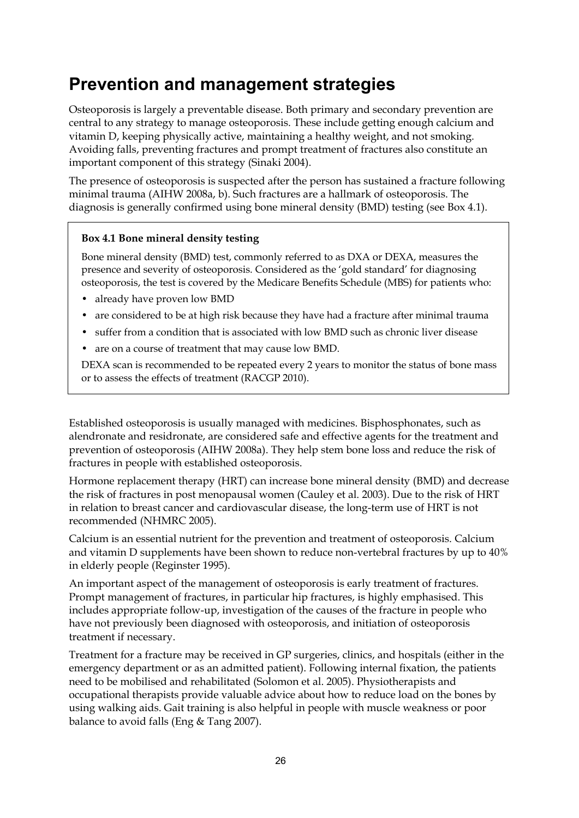## <span id="page-31-0"></span>**Prevention and management strategies**

Osteoporosis is largely a preventable disease. Both primary and secondary prevention are central to any strategy to manage osteoporosis. These include getting enough calcium and vitamin D, keeping physically active, maintaining a healthy weight, and not smoking. Avoiding falls, preventing fractures and prompt treatment of fractures also constitute an important component of this strategy (Sinaki 2004).

The presence of osteoporosis is suspected after the person has sustained a fracture following minimal trauma (AIHW 2008a, b). Such fractures are a hallmark of osteoporosis. The diagnosis is generally confirmed using bone mineral density (BMD) testing (see Box 4.1).

#### **Box 4.1 Bone mineral density testing**

Bone mineral density (BMD) test, commonly referred to as DXA or DEXA, measures the presence and severity of osteoporosis. Considered as the 'gold standard' for diagnosing osteoporosis, the test is covered by the Medicare Benefits Schedule (MBS) for patients who:

- already have proven low BMD
- are considered to be at high risk because they have had a fracture after minimal trauma
- suffer from a condition that is associated with low BMD such as chronic liver disease
- are on a course of treatment that may cause low BMD.

DEXA scan is recommended to be repeated every 2 years to monitor the status of bone mass or to assess the effects of treatment (RACGP 2010).

Established osteoporosis is usually managed with medicines. Bisphosphonates, such as alendronate and residronate, are considered safe and effective agents for the treatment and prevention of osteoporosis (AIHW 2008a). They help stem bone loss and reduce the risk of fractures in people with established osteoporosis.

Hormone replacement therapy (HRT) can increase bone mineral density (BMD) and decrease the risk of fractures in post menopausal women (Cauley et al. 2003). Due to the risk of HRT in relation to breast cancer and cardiovascular disease, the long-term use of HRT is not recommended (NHMRC 2005).

Calcium is an essential nutrient for the prevention and treatment of osteoporosis. Calcium and vitamin D supplements have been shown to reduce non-vertebral fractures by up to 40% in elderly people (Reginster 1995).

An important aspect of the management of osteoporosis is early treatment of fractures. Prompt management of fractures, in particular hip fractures, is highly emphasised. This includes appropriate follow-up, investigation of the causes of the fracture in people who have not previously been diagnosed with osteoporosis, and initiation of osteoporosis treatment if necessary.

Treatment for a fracture may be received in GP surgeries, clinics, and hospitals (either in the emergency department or as an admitted patient). Following internal fixation, the patients need to be mobilised and rehabilitated (Solomon et al. 2005). Physiotherapists and occupational therapists provide valuable advice about how to reduce load on the bones by using walking aids. Gait training is also helpful in people with muscle weakness or poor balance to avoid falls (Eng & Tang 2007).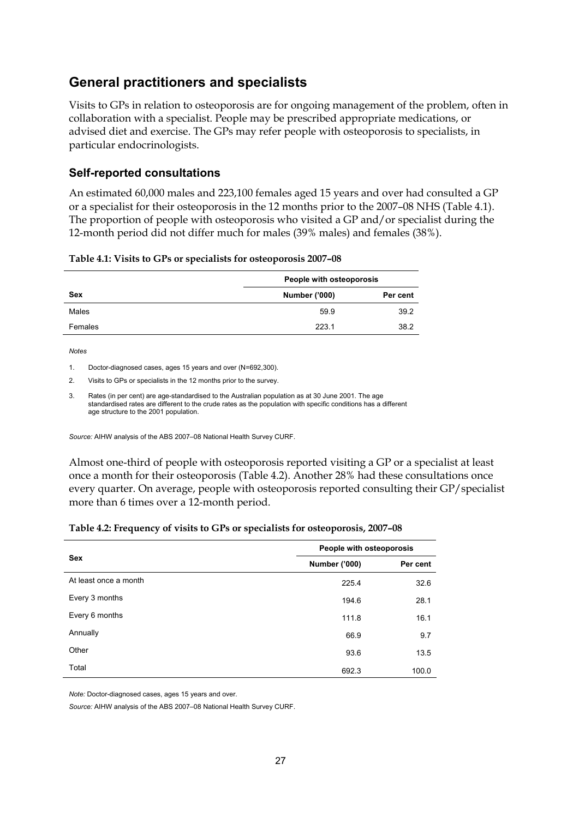## **General practitioners and specialists**

Visits to GPs in relation to osteoporosis are for ongoing management of the problem, often in collaboration with a specialist. People may be prescribed appropriate medications, or advised diet and exercise. The GPs may refer people with osteoporosis to specialists, in particular endocrinologists.

### **Self-reported consultations**

An estimated 60,000 males and 223,100 females aged 15 years and over had consulted a GP or a specialist for their osteoporosis in the 12 months prior to the 2007–08 NHS (Table 4.1). The proportion of people with osteoporosis who visited a GP and/or specialist during the 12-month period did not differ much for males (39% males) and females (38%).

|  |  | Table 4.1: Visits to GPs or specialists for osteoporosis 2007-08 |
|--|--|------------------------------------------------------------------|
|--|--|------------------------------------------------------------------|

<span id="page-32-0"></span>

|         | People with osteoporosis |          |  |
|---------|--------------------------|----------|--|
| Sex     | <b>Number ('000)</b>     | Per cent |  |
| Males   | 59.9                     | 39.2     |  |
| Females | 223.1                    | 38.2     |  |

*Notes* 

1. Doctor-diagnosed cases, ages 15 years and over (N=692,300).

2. Visits to GPs or specialists in the 12 months prior to the survey.

3. Rates (in per cent) are age-standardised to the Australian population as at 30 June 2001. The age standardised rates are different to the crude rates as the population with specific conditions has a different age structure to the 2001 population.

*Source:* AIHW analysis of the ABS 2007–08 National Health Survey CURF.

Almost one-third of people with osteoporosis reported visiting a GP or a specialist at least once a month for their osteoporosis (Table 4.2). Another 28% had these consultations once every quarter. On average, people with osteoporosis reported consulting their GP/specialist more than 6 times over a 12-month period.

|  | Table 4.2: Frequency of visits to GPs or specialists for osteoporosis, 2007-08 |  |
|--|--------------------------------------------------------------------------------|--|
|  |                                                                                |  |

<span id="page-32-1"></span>

|                       | People with osteoporosis |          |  |
|-----------------------|--------------------------|----------|--|
| <b>Sex</b>            | <b>Number ('000)</b>     | Per cent |  |
| At least once a month | 225.4                    | 32.6     |  |
| Every 3 months        | 194.6                    | 28.1     |  |
| Every 6 months        | 111.8                    | 16.1     |  |
| Annually              | 66.9                     | 9.7      |  |
| Other                 | 93.6                     | 13.5     |  |
| Total                 | 692.3                    | 100.0    |  |

*Note:* Doctor-diagnosed cases, ages 15 years and over.

*Source:* AIHW analysis of the ABS 2007–08 National Health Survey CURF.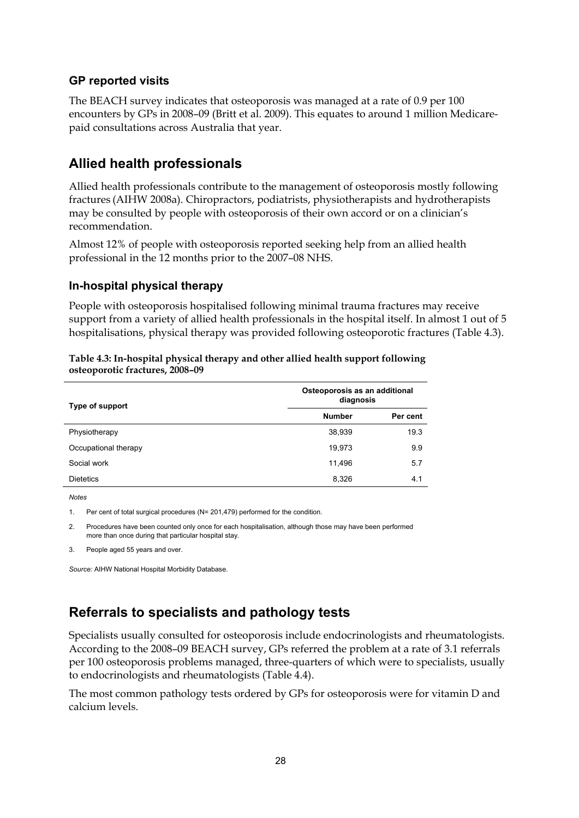#### **GP reported visits**

The BEACH survey indicates that osteoporosis was managed at a rate of 0.9 per 100 encounters by GPs in 2008–09 (Britt et al. 2009). This equates to around 1 million Medicarepaid consultations across Australia that year.

## **Allied health professionals**

Allied health professionals contribute to the management of osteoporosis mostly following fractures (AIHW 2008a). Chiropractors, podiatrists, physiotherapists and hydrotherapists may be consulted by people with osteoporosis of their own accord or on a clinician's recommendation.

Almost 12% of people with osteoporosis reported seeking help from an allied health professional in the 12 months prior to the 2007–08 NHS.

#### **In-hospital physical therapy**

People with osteoporosis hospitalised following minimal trauma fractures may receive support from a variety of allied health professionals in the hospital itself. In almost 1 out of 5 hospitalisations, physical therapy was provided following osteoporotic fractures (Table 4.3).

| Type of support      | Osteoporosis as an additional<br>diagnosis |          |  |
|----------------------|--------------------------------------------|----------|--|
|                      | <b>Number</b>                              | Per cent |  |
| Physiotherapy        | 38,939                                     | 19.3     |  |
| Occupational therapy | 19,973                                     | 9.9      |  |
| Social work          | 11,496                                     | 5.7      |  |
| <b>Dietetics</b>     | 8,326                                      | 4.1      |  |

<span id="page-33-0"></span>**Table 4.3: In-hospital physical therapy and other allied health support following osteoporotic fractures, 2008–09** 

*Notes*

1. Per cent of total surgical procedures (N= 201,479) performed for the condition.

2. Procedures have been counted only once for each hospitalisation, although those may have been performed more than once during that particular hospital stay.

3. People aged 55 years and over.

*Source:* AIHW National Hospital Morbidity Database.

## **Referrals to specialists and pathology tests**

Specialists usually consulted for osteoporosis include endocrinologists and rheumatologists. According to the 2008–09 BEACH survey, GPs referred the problem at a rate of 3.1 referrals per 100 osteoporosis problems managed, three-quarters of which were to specialists, usually to endocrinologists and rheumatologists (Table 4.4).

The most common pathology tests ordered by GPs for osteoporosis were for vitamin D and calcium levels.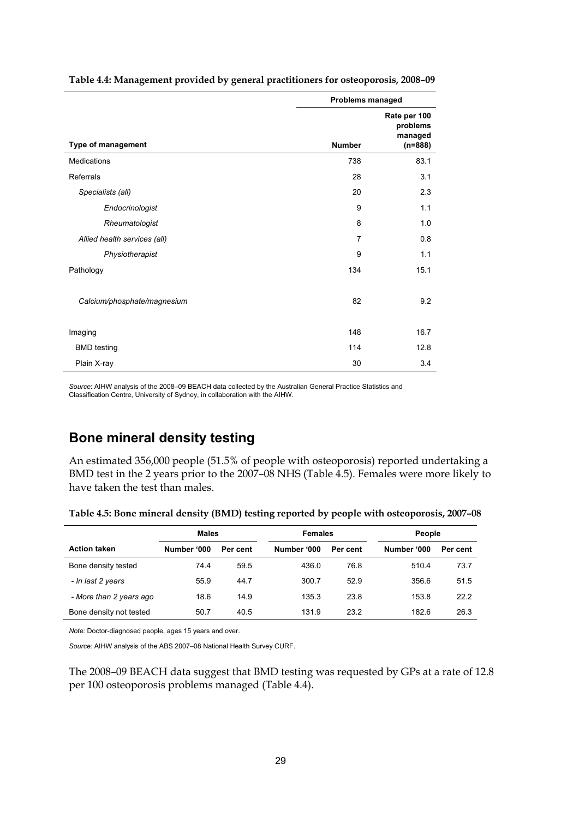|                              | Problems managed |                                                  |
|------------------------------|------------------|--------------------------------------------------|
| Type of management           | <b>Number</b>    | Rate per 100<br>problems<br>managed<br>$(n=888)$ |
| Medications                  | 738              | 83.1                                             |
| Referrals                    | 28               | 3.1                                              |
| Specialists (all)            | 20               | 2.3                                              |
| Endocrinologist              | 9                | 1.1                                              |
| Rheumatologist               | 8                | 1.0                                              |
| Allied health services (all) | $\overline{7}$   | 0.8                                              |
| Physiotherapist              | 9                | 1.1                                              |
| Pathology                    | 134              | 15.1                                             |
| Calcium/phosphate/magnesium  | 82               | 9.2                                              |
| Imaging                      | 148              | 16.7                                             |
| <b>BMD</b> testing           | 114              | 12.8                                             |
| Plain X-ray                  | 30               | 3.4                                              |

<span id="page-34-0"></span>**Table 4.4: Management provided by general practitioners for osteoporosis, 2008–09** 

*Source*: AIHW analysis of the 2008–09 BEACH data collected by the Australian General Practice Statistics and Classification Centre, University of Sydney, in collaboration with the AIHW.

## **Bone mineral density testing**

An estimated 356,000 people (51.5% of people with osteoporosis) reported undertaking a BMD test in the 2 years prior to the 2007–08 NHS (Table 4.5). Females were more likely to have taken the test than males.

<span id="page-34-1"></span>

|                         | Males<br><b>Females</b> |          | People      |          |             |          |
|-------------------------|-------------------------|----------|-------------|----------|-------------|----------|
| <b>Action taken</b>     | Number '000             | Per cent | Number '000 | Per cent | Number '000 | Per cent |
| Bone density tested     | 74.4                    | 59.5     | 436.0       | 76.8     | 510.4       | 73.7     |
| - In last 2 years       | 55.9                    | 44.7     | 300.7       | 52.9     | 356.6       | 51.5     |
| - More than 2 years ago | 18.6                    | 14.9     | 135.3       | 23.8     | 153.8       | 22.2     |
| Bone density not tested | 50.7                    | 40.5     | 131.9       | 23.2     | 182.6       | 26.3     |

**Table 4.5: Bone mineral density (BMD) testing reported by people with osteoporosis, 2007–08** 

*Note:* Doctor-diagnosed people, ages 15 years and over.

*Source:* AIHW analysis of the ABS 2007–08 National Health Survey CURF.

The 2008–09 BEACH data suggest that BMD testing was requested by GPs at a rate of 12.8 per 100 osteoporosis problems managed (Table 4.4).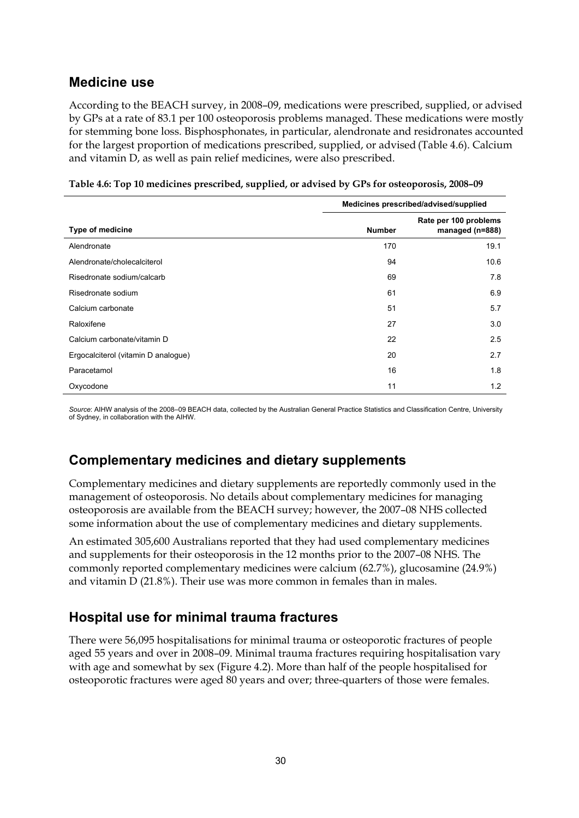## **Medicine use**

According to the BEACH survey, in 2008–09, medications were prescribed, supplied, or advised by GPs at a rate of 83.1 per 100 osteoporosis problems managed. These medications were mostly for stemming bone loss. Bisphosphonates, in particular, alendronate and residronates accounted for the largest proportion of medications prescribed, supplied, or advised (Table 4.6). Calcium and vitamin D, as well as pain relief medicines, were also prescribed.

<span id="page-35-0"></span>

|                                     | Medicines prescribed/advised/supplied |                                          |  |
|-------------------------------------|---------------------------------------|------------------------------------------|--|
| <b>Type of medicine</b>             | <b>Number</b>                         | Rate per 100 problems<br>managed (n=888) |  |
| Alendronate                         | 170                                   | 19.1                                     |  |
| Alendronate/cholecalciterol         | 94                                    | 10.6                                     |  |
| Risedronate sodium/calcarb          | 69                                    | 7.8                                      |  |
| Risedronate sodium                  | 61                                    | 6.9                                      |  |
| Calcium carbonate                   | 51                                    | 5.7                                      |  |
| Raloxifene                          | 27                                    | 3.0                                      |  |
| Calcium carbonate/vitamin D         | 22                                    | 2.5                                      |  |
| Ergocalciterol (vitamin D analogue) | 20                                    | 2.7                                      |  |
| Paracetamol                         | 16                                    | 1.8                                      |  |
| Oxycodone                           | 11                                    | 1.2                                      |  |

|  | Table 4.6: Top 10 medicines prescribed, supplied, or advised by GPs for osteoporosis, 2008-09 |  |
|--|-----------------------------------------------------------------------------------------------|--|
|  |                                                                                               |  |

*Source*: AIHW analysis of the 2008–09 BEACH data, collected by the Australian General Practice Statistics and Classification Centre, University of Sydney, in collaboration with the AIHW.

## **Complementary medicines and dietary supplements**

Complementary medicines and dietary supplements are reportedly commonly used in the management of osteoporosis. No details about complementary medicines for managing osteoporosis are available from the BEACH survey; however, the 2007–08 NHS collected some information about the use of complementary medicines and dietary supplements.

An estimated 305,600 Australians reported that they had used complementary medicines and supplements for their osteoporosis in the 12 months prior to the 2007–08 NHS. The commonly reported complementary medicines were calcium (62.7%), glucosamine (24.9%) and vitamin D (21.8%). Their use was more common in females than in males.

## **Hospital use for minimal trauma fractures**

There were 56,095 hospitalisations for minimal trauma or osteoporotic fractures of people aged 55 years and over in 2008–09. Minimal trauma fractures requiring hospitalisation vary with age and somewhat by sex (Figure 4.2). More than half of the people hospitalised for osteoporotic fractures were aged 80 years and over; three-quarters of those were females.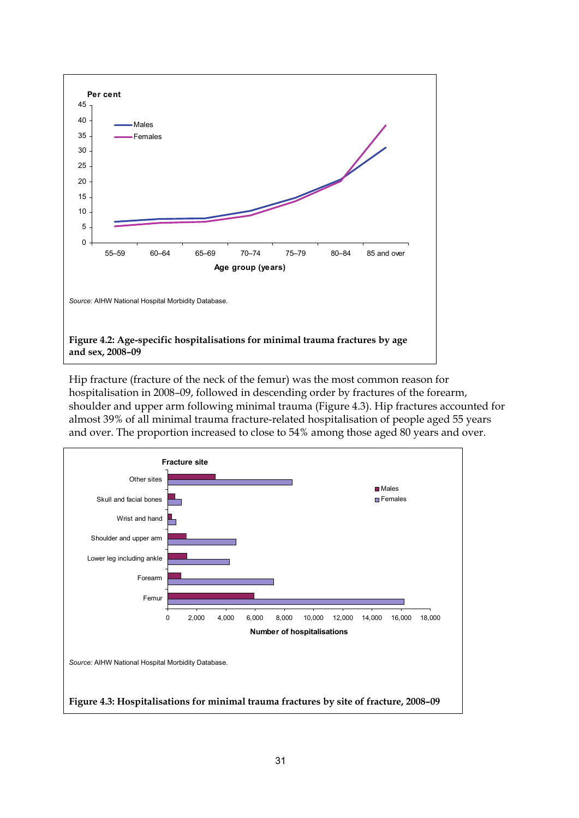

<span id="page-36-0"></span>Hip fracture (fracture of the neck of the femur) was the most common reason for hospitalisation in 2008–09, followed in descending order by fractures of the forearm, shoulder and upper arm following minimal trauma (Figure 4.3). Hip fractures accounted for almost 39% of all minimal trauma fracture-related hospitalisation of people aged 55 years and over. The proportion increased to close to 54% among those aged 80 years and over.

<span id="page-36-1"></span>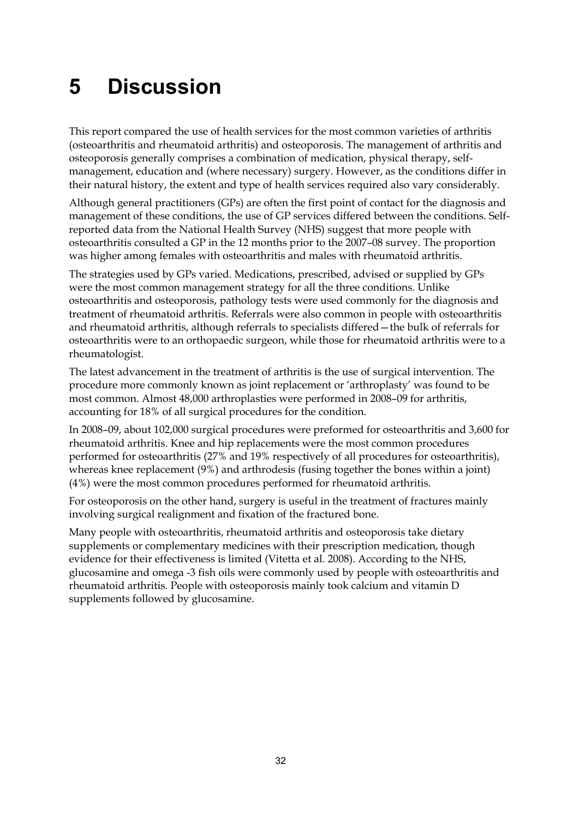# <span id="page-37-0"></span>**5 Discussion**

This report compared the use of health services for the most common varieties of arthritis (osteoarthritis and rheumatoid arthritis) and osteoporosis. The management of arthritis and osteoporosis generally comprises a combination of medication, physical therapy, selfmanagement, education and (where necessary) surgery. However, as the conditions differ in their natural history, the extent and type of health services required also vary considerably.

Although general practitioners (GPs) are often the first point of contact for the diagnosis and management of these conditions, the use of GP services differed between the conditions. Selfreported data from the National Health Survey (NHS) suggest that more people with osteoarthritis consulted a GP in the 12 months prior to the 2007–08 survey. The proportion was higher among females with osteoarthritis and males with rheumatoid arthritis.

The strategies used by GPs varied. Medications, prescribed, advised or supplied by GPs were the most common management strategy for all the three conditions. Unlike osteoarthritis and osteoporosis, pathology tests were used commonly for the diagnosis and treatment of rheumatoid arthritis. Referrals were also common in people with osteoarthritis and rheumatoid arthritis, although referrals to specialists differed—the bulk of referrals for osteoarthritis were to an orthopaedic surgeon, while those for rheumatoid arthritis were to a rheumatologist.

The latest advancement in the treatment of arthritis is the use of surgical intervention. The procedure more commonly known as joint replacement or 'arthroplasty' was found to be most common. Almost 48,000 arthroplasties were performed in 2008–09 for arthritis, accounting for 18% of all surgical procedures for the condition.

In 2008–09, about 102,000 surgical procedures were preformed for osteoarthritis and 3,600 for rheumatoid arthritis. Knee and hip replacements were the most common procedures performed for osteoarthritis (27% and 19% respectively of all procedures for osteoarthritis), whereas knee replacement (9%) and arthrodesis (fusing together the bones within a joint) (4%) were the most common procedures performed for rheumatoid arthritis.

For osteoporosis on the other hand, surgery is useful in the treatment of fractures mainly involving surgical realignment and fixation of the fractured bone.

Many people with osteoarthritis, rheumatoid arthritis and osteoporosis take dietary supplements or complementary medicines with their prescription medication, though evidence for their effectiveness is limited (Vitetta et al. 2008). According to the NHS, glucosamine and omega -3 fish oils were commonly used by people with osteoarthritis and rheumatoid arthritis. People with osteoporosis mainly took calcium and vitamin D supplements followed by glucosamine.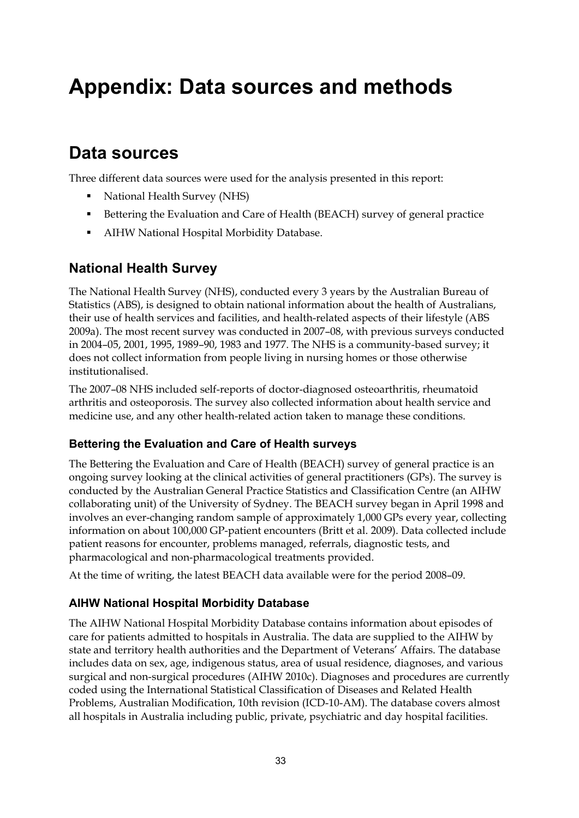# <span id="page-38-0"></span>**Appendix: Data sources and methods**

## **Data sources**

Three different data sources were used for the analysis presented in this report:

- National Health Survey (NHS)
- Bettering the Evaluation and Care of Health (BEACH) survey of general practice
- AIHW National Hospital Morbidity Database.

## **National Health Survey**

The National Health Survey (NHS), conducted every 3 years by the Australian Bureau of Statistics (ABS), is designed to obtain national information about the health of Australians, their use of health services and facilities, and health-related aspects of their lifestyle (ABS 2009a). The most recent survey was conducted in 2007–08, with previous surveys conducted in 2004–05, 2001, 1995, 1989–90, 1983 and 1977. The NHS is a community-based survey; it does not collect information from people living in nursing homes or those otherwise institutionalised.

The 2007–08 NHS included self-reports of doctor-diagnosed osteoarthritis, rheumatoid arthritis and osteoporosis. The survey also collected information about health service and medicine use, and any other health-related action taken to manage these conditions.

### **Bettering the Evaluation and Care of Health surveys**

The Bettering the Evaluation and Care of Health (BEACH) survey of general practice is an ongoing survey looking at the clinical activities of general practitioners (GPs). The survey is conducted by the Australian General Practice Statistics and Classification Centre (an AIHW collaborating unit) of the University of Sydney. The BEACH survey began in April 1998 and involves an ever-changing random sample of approximately 1,000 GPs every year, collecting information on about 100,000 GP-patient encounters (Britt et al. 2009). Data collected include patient reasons for encounter, problems managed, referrals, diagnostic tests, and pharmacological and non-pharmacological treatments provided.

At the time of writing, the latest BEACH data available were for the period 2008–09.

### **AIHW National Hospital Morbidity Database**

The AIHW National Hospital Morbidity Database contains information about episodes of care for patients admitted to hospitals in Australia. The data are supplied to the AIHW by state and territory health authorities and the Department of Veterans' Affairs. The database includes data on sex, age, indigenous status, area of usual residence, diagnoses, and various surgical and non-surgical procedures (AIHW 2010c). Diagnoses and procedures are currently coded using the International Statistical Classification of Diseases and Related Health Problems, Australian Modification, 10th revision (ICD-10-AM). The database covers almost all hospitals in Australia including public, private, psychiatric and day hospital facilities.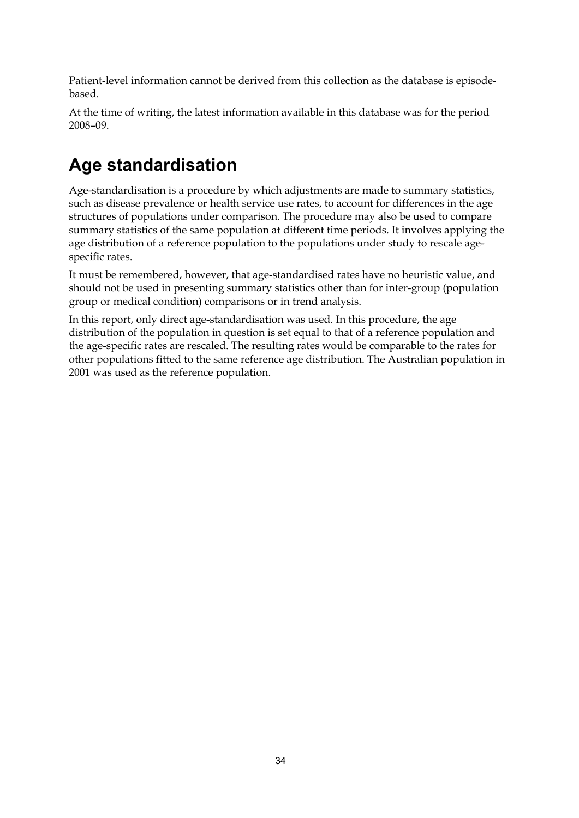Patient-level information cannot be derived from this collection as the database is episodebased.

At the time of writing, the latest information available in this database was for the period 2008–09.

# **Age standardisation**

Age-standardisation is a procedure by which adjustments are made to summary statistics, such as disease prevalence or health service use rates, to account for differences in the age structures of populations under comparison. The procedure may also be used to compare summary statistics of the same population at different time periods. It involves applying the age distribution of a reference population to the populations under study to rescale agespecific rates.

It must be remembered, however, that age-standardised rates have no heuristic value, and should not be used in presenting summary statistics other than for inter-group (population group or medical condition) comparisons or in trend analysis.

In this report, only direct age-standardisation was used. In this procedure, the age distribution of the population in question is set equal to that of a reference population and the age-specific rates are rescaled. The resulting rates would be comparable to the rates for other populations fitted to the same reference age distribution. The Australian population in 2001 was used as the reference population.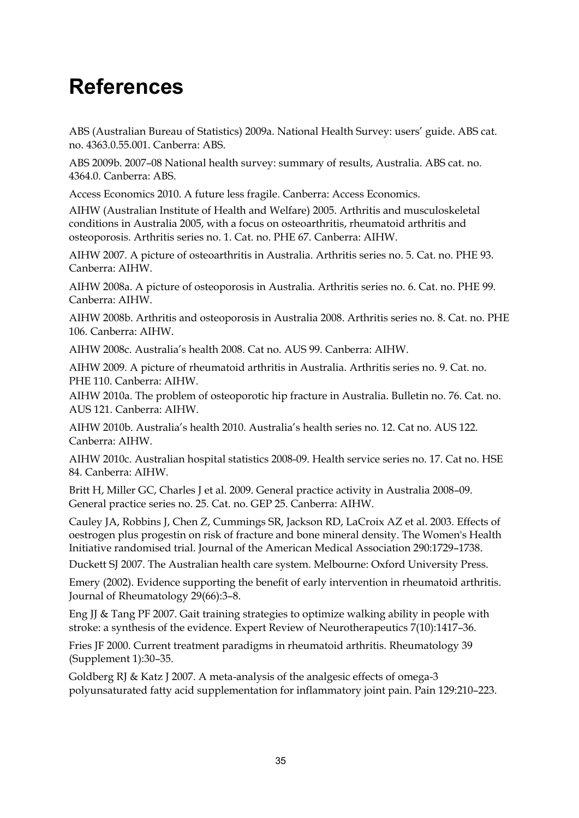# <span id="page-40-0"></span>**References**

ABS (Australian Bureau of Statistics) 2009a. National Health Survey: users' guide. ABS cat. no. 4363.0.55.001. Canberra: ABS.

ABS 2009b. 2007–08 National health survey: summary of results, Australia. ABS cat. no. 4364.0. Canberra: ABS.

Access Economics 2010. A future less fragile. Canberra: Access Economics.

AIHW (Australian Institute of Health and Welfare) 2005. Arthritis and musculoskeletal conditions in Australia 2005, with a focus on osteoarthritis, rheumatoid arthritis and osteoporosis. Arthritis series no. 1. Cat. no. PHE 67. Canberra: AIHW.

AIHW 2007. A picture of osteoarthritis in Australia. Arthritis series no. 5. Cat. no. PHE 93. Canberra: AIHW.

AIHW 2008a. A picture of osteoporosis in Australia. Arthritis series no. 6. Cat. no. PHE 99. Canberra: AIHW.

AIHW 2008b. Arthritis and osteoporosis in Australia 2008. Arthritis series no. 8. Cat. no. PHE 106. Canberra: AIHW.

AIHW 2008c. Australia's health 2008. Cat no. AUS 99. Canberra: AIHW.

AIHW 2009. A picture of rheumatoid arthritis in Australia. Arthritis series no. 9. Cat. no. PHE 110. Canberra: AIHW.

AIHW 2010a. The problem of osteoporotic hip fracture in Australia. Bulletin no. 76. Cat. no. AUS 121. Canberra: AIHW.

AIHW 2010b. Australia's health 2010. Australia's health series no. 12. Cat no. AUS 122. Canberra: AIHW.

AIHW 2010c. Australian hospital statistics 2008-09. Health service series no. 17. Cat no. HSE 84. Canberra: AIHW.

Britt H, Miller GC, Charles J et al. 2009. General practice activity in Australia 2008–09. General practice series no. 25. Cat. no. GEP 25. Canberra: AIHW.

Cauley JA, Robbins J, Chen Z, Cummings SR, Jackson RD, LaCroix AZ et al. 2003. Effects of oestrogen plus progestin on risk of fracture and bone mineral density. The Women's Health Initiative randomised trial. Journal of the American Medical Association 290:1729–1738.

Duckett SJ 2007. The Australian health care system. Melbourne: Oxford University Press.

Emery (2002). Evidence supporting the benefit of early intervention in rheumatoid arthritis. Journal of Rheumatology 29(66):3–8.

Eng JJ & Tang PF 2007. Gait training strategies to optimize walking ability in people with stroke: a synthesis of the evidence. Expert Review of Neurotherapeutics 7(10):1417–36.

Fries JF 2000. Current treatment paradigms in rheumatoid arthritis. Rheumatology 39 (Supplement 1):30–35.

Goldberg RJ & Katz J 2007. A meta-analysis of the analgesic effects of omega-3 polyunsaturated fatty acid supplementation for inflammatory joint pain. Pain 129:210–223.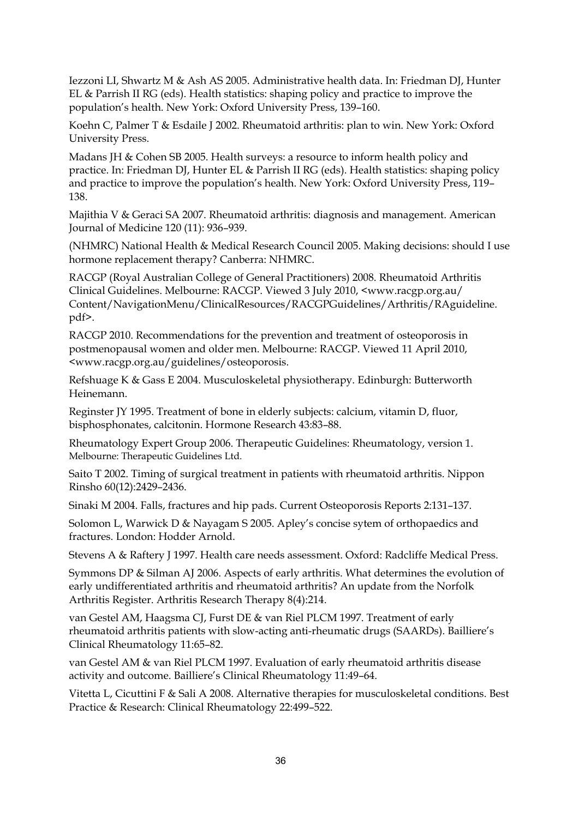Iezzoni LI, Shwartz M & Ash AS 2005. Administrative health data. In: Friedman DJ, Hunter EL & Parrish II RG (eds). Health statistics: shaping policy and practice to improve the population's health. New York: Oxford University Press, 139–160.

Koehn C, Palmer T & Esdaile J 2002. Rheumatoid arthritis: plan to win. New York: Oxford University Press.

Madans JH & Cohen SB 2005. Health surveys: a resource to inform health policy and practice. In: Friedman DJ, Hunter EL & Parrish II RG (eds). Health statistics: shaping policy and practice to improve the population's health. New York: Oxford University Press, 119– 138.

Majithia V & Geraci SA 2007. Rheumatoid arthritis: diagnosis and management. American Journal of Medicine 120 (11): 936–939.

(NHMRC) National Health & Medical Research Council 2005. Making decisions: should I use hormone replacement therapy? Canberra: NHMRC.

RACGP (Royal Australian College of General Practitioners) 2008. Rheumatoid Arthritis Clinical Guidelines. Melbourne: RACGP. Viewed 3 July 2010, <www.racgp.org.au/ Content/NavigationMenu/ClinicalResources/RACGPGuidelines/Arthritis/RAguideline. pdf>.

RACGP 2010. Recommendations for the prevention and treatment of osteoporosis in postmenopausal women and older men. Melbourne: RACGP. Viewed 11 April 2010, <www.racgp.org.au/guidelines/osteoporosis.

Refshuage K & Gass E 2004. Musculoskeletal physiotherapy. Edinburgh: Butterworth Heinemann.

Reginster JY 1995. Treatment of bone in elderly subjects: calcium, vitamin D, fluor, bisphosphonates, calcitonin. Hormone Research 43:83–88.

Rheumatology Expert Group 2006. Therapeutic Guidelines: Rheumatology, version 1. Melbourne: Therapeutic Guidelines Ltd.

Saito T 2002. Timing of surgical treatment in patients with rheumatoid arthritis. Nippon Rinsho 60(12):2429–2436.

Sinaki M 2004. Falls, fractures and hip pads. Current Osteoporosis Reports 2:131–137.

Solomon L, Warwick D & Nayagam S 2005. Apley's concise sytem of orthopaedics and fractures. London: Hodder Arnold.

Stevens A & Raftery J 1997. Health care needs assessment. Oxford: Radcliffe Medical Press.

Symmons DP & Silman AJ 2006. Aspects of early arthritis. What determines the evolution of early undifferentiated arthritis and rheumatoid arthritis? An update from the Norfolk Arthritis Register. Arthritis Research Therapy 8(4):214.

van Gestel AM, Haagsma CJ, Furst DE & van Riel PLCM 1997. Treatment of early rheumatoid arthritis patients with slow-acting anti-rheumatic drugs (SAARDs). Bailliere's Clinical Rheumatology 11:65–82.

van Gestel AM & van Riel PLCM 1997. Evaluation of early rheumatoid arthritis disease activity and outcome. Bailliere's Clinical Rheumatology 11:49–64.

Vitetta L, Cicuttini F & Sali A 2008. Alternative therapies for musculoskeletal conditions. Best Practice & Research: Clinical Rheumatology 22:499–522.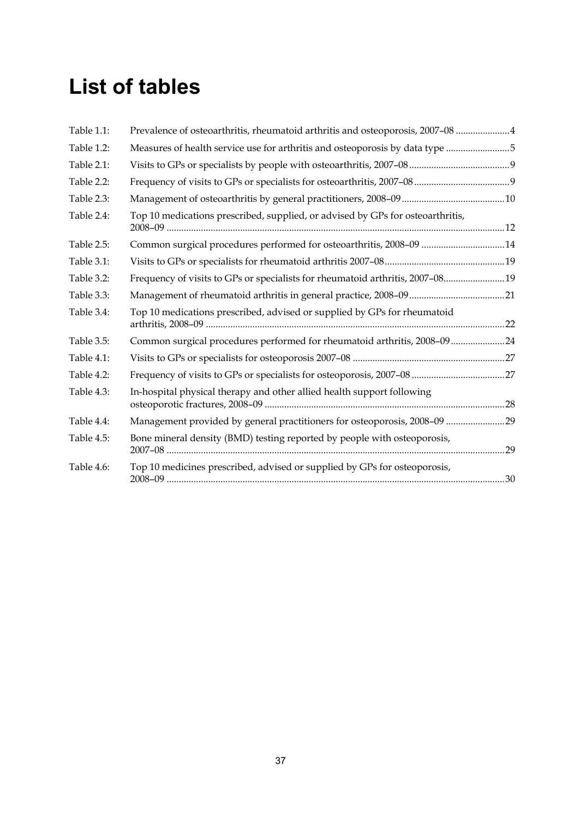# <span id="page-42-0"></span>**List of tables**

| Table 1.1: | Prevalence of osteoarthritis, rheumatoid arthritis and osteoporosis, 2007-08 4 |  |
|------------|--------------------------------------------------------------------------------|--|
| Table 1.2: | Measures of health service use for arthritis and osteoporosis by data type 5   |  |
| Table 2.1: |                                                                                |  |
| Table 2.2: |                                                                                |  |
| Table 2.3: |                                                                                |  |
| Table 2.4: | Top 10 medications prescribed, supplied, or advised by GPs for osteoarthritis, |  |
| Table 2.5: | Common surgical procedures performed for osteoarthritis, 2008-09 14            |  |
| Table 3.1: |                                                                                |  |
| Table 3.2: | Frequency of visits to GPs or specialists for rheumatoid arthritis, 2007-08 19 |  |
| Table 3.3: |                                                                                |  |
| Table 3.4: | Top 10 medications prescribed, advised or supplied by GPs for rheumatoid       |  |
| Table 3.5: | Common surgical procedures performed for rheumatoid arthritis, 2008-0924       |  |
| Table 4.1: |                                                                                |  |
| Table 4.2: |                                                                                |  |
| Table 4.3: | In-hospital physical therapy and other allied health support following         |  |
| Table 4.4: | Management provided by general practitioners for osteoporosis, 2008-09 29      |  |
| Table 4.5: | Bone mineral density (BMD) testing reported by people with osteoporosis,       |  |
| Table 4.6: | Top 10 medicines prescribed, advised or supplied by GPs for osteoporosis,      |  |